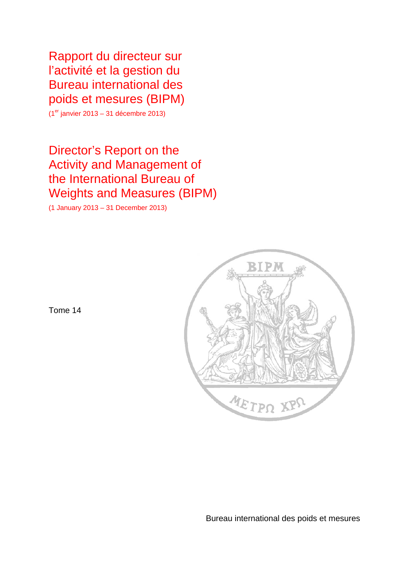Rapport du directeur sur l'activité et la gestion du Bureau international des poids et mesures (BIPM)

 $(1<sup>er</sup>$  janvier 2013 – 31 décembre 2013)

# Director's Report on the Activity and Management of the International Bureau of Weights and Measures (BIPM)

(1 January 2013 – 31 December 2013)



Tome 14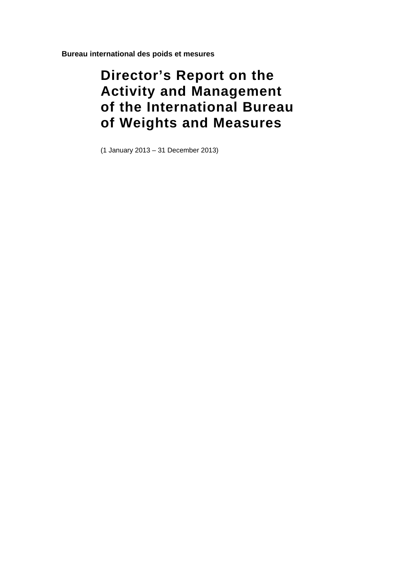**Bureau international des poids et mesures** 

# **Director's Report on the Activity and Management of the International Bureau of Weights and Measures**

(1 January 2013 – 31 December 2013)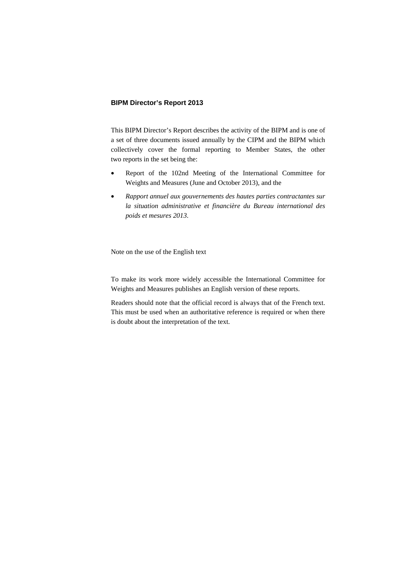## **BIPM Director's Report 2013**

This BIPM Director's Report describes the activity of the BIPM and is one of a set of three documents issued annually by the CIPM and the BIPM which collectively cover the formal reporting to Member States, the other two reports in the set being the:

- Report of the 102nd Meeting of the International Committee for Weights and Measures (June and October 2013), and the
- *Rapport annuel aux gouvernements des hautes parties contractantes sur la situation administrative et financière du Bureau international des poids et mesures 2013*.

Note on the use of the English text

To make its work more widely accessible the International Committee for Weights and Measures publishes an English version of these reports.

Readers should note that the official record is always that of the French text. This must be used when an authoritative reference is required or when there is doubt about the interpretation of the text.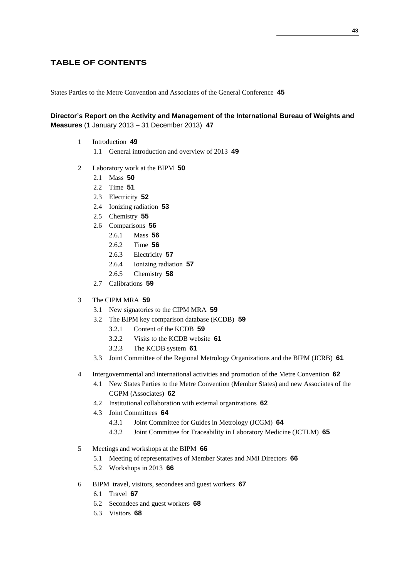## **TABLE OF CONTENTS**

States Parties to the Metre Convention and Associates of the General Conference **45**

## **Director's Report on the Activity and Management of the International Bureau of Weights and Measures** (1 January 2013 – 31 December 2013) **47**

- 1 Introduction **49** 1.1 General introduction and overview of 2013 **49**
- 2 Laboratory work at the BIPM **50**
	- 2.1 Mass **50**
	- 2.2 Time **51**
	- 2.3 Electricity **52**
	- 2.4 Ionizing radiation **53**
	- 2.5 Chemistry **55**
	- 2.6 Comparisons **56**
		- 2.6.1 Mass **56**
		- 2.6.2 Time **56**
		- 2.6.3 Electricity **57**
		- 2.6.4 Ionizing radiation **57**
		- 2.6.5 Chemistry **58**
	- 2.7 Calibrations **59**
- 3 The CIPM MRA **59**
	- 3.1 New signatories to the CIPM MRA **59**
	- 3.2 The BIPM key comparison database (KCDB) **59** 
		- 3.2.1 Content of the KCDB **59**
		- 3.2.2 Visits to the KCDB website **61**
		- 3.2.3 The KCDB system **61**
	- 3.3 Joint Committee of the Regional Metrology Organizations and the BIPM (JCRB) **61**
- 4 Intergovernmental and international activities and promotion of the Metre Convention **62**
	- 4.1 New States Parties to the Metre Convention (Member States) and new Associates of the CGPM (Associates) **62**
	- 4.2 Institutional collaboration with external organizations **62**
	- 4.3 Joint Committees **64**
		- 4.3.1 Joint Committee for Guides in Metrology (JCGM) **64**
		- 4.3.2 Joint Committee for Traceability in Laboratory Medicine (JCTLM) **65**
- 5 Meetings and workshops at the BIPM **66**
	- 5.1 Meeting of representatives of Member States and NMI Directors **66**
	- 5.2 Workshops in 2013 **66**
- 6 BIPM travel, visitors, secondees and guest workers **67**
	- 6.1 Travel **67**
	- 6.2 Secondees and guest workers **68**
	- 6.3 Visitors **68**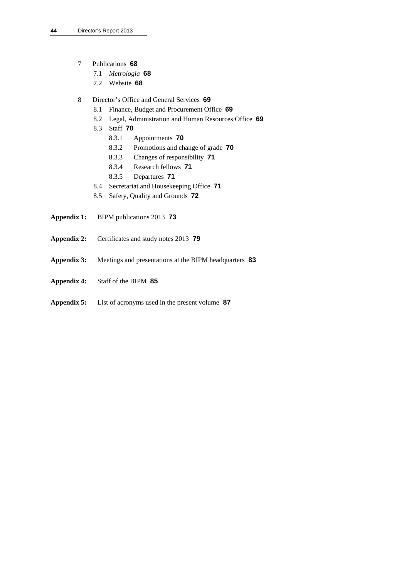- 7 Publications **68**
	- 7.1 *Metrologia* **68**
	- 7.2 Website **68**
- 8 Director's Office and General Services **69**
	- 8.1 Finance, Budget and Procurement Office **69**
	- 8.2 Legal, Administration and Human Resources Office **69**
	- 8.3 Staff **70** 
		- 8.3.1 Appointments **70**
		- 8.3.2 Promotions and change of grade **70**
		- 8.3.3 Changes of responsibility **71**
		- 8.3.4 Research fellows **71**
		- 8.3.5 Departures **71**
	- 8.4 Secretariat and Housekeeping Office **71**
	- 8.5 Safety, Quality and Grounds **72**
- **Appendix 1:** BIPM publications 2013 **73**
- **Appendix 2:** Certificates and study notes 2013 **79**
- **Appendix 3:** Meetings and presentations at the BIPM headquarters **83**
- **Appendix 4:** Staff of the BIPM **85**
- **Appendix 5:** List of acronyms used in the present volume **87**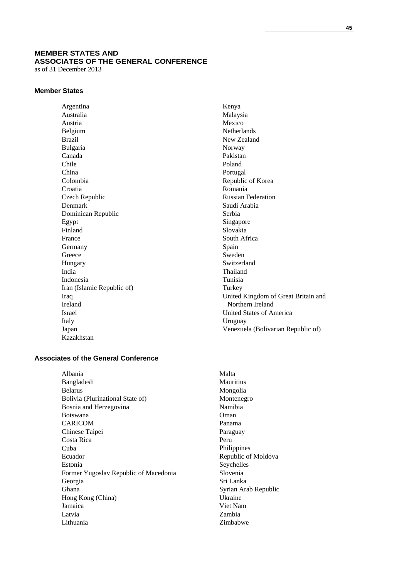# **MEMBER STATES AND ASSOCIATES OF THE GENERAL CONFERENCE**

as of 31 December 2013

#### **Member States**

Argentina Australia Austria Belgium Brazil Bulgaria Canada Chile China Colombia Croatia Czech Republic Denmark Dominican Republic Egypt Finland France Germany Greece Hungary India Indonesia Iran (Islamic Republic of) Iraq Ireland Israel Italy Japan Kazakhstan

## **Associates of the General Conference**

Albania Bangladesh Belarus Bolivia (Plurinational State of) Bosnia and Herzegovina Botswana CARICOM Chinese Taipei Costa Rica Cuba Ecuador Estonia Former Yugoslav Republic of Macedonia Georgia Ghana Hong Kong (China) Jamaica Latvia Lithuania

Kenya Malaysia Mexico Netherlands New Zealand Norway Pakistan Poland Portugal Republic of Korea Romania Russian Federation Saudi Arabia Serbia Singapore Slovakia South Africa Spain Sweden Switzerland Thailand Tunisia Turkey United Kingdom of Great Britain and Northern Ireland United States of America Uruguay Venezuela (Bolivarian Republic of)

Malta **Mauritius** Mongolia Montenegro Namibia Oman Panama Paraguay Peru Philippines Republic of Moldova Seychelles Slovenia Sri Lanka Syrian Arab Republic Ukraine Viet Nam Zambia Zimbabwe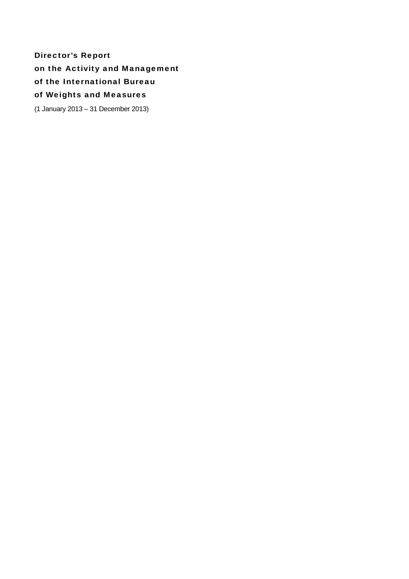Director's Report on the Activity and Management of the International Bureau of Weights and Measures

(1 January 2013 – 31 December 2013)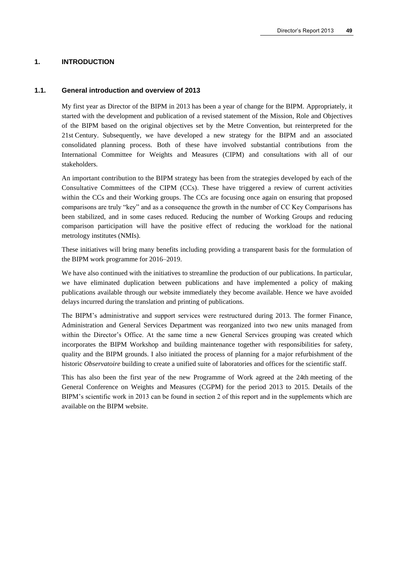#### **1. INTRODUCTION**

#### **1.1. General introduction and overview of 2013**

My first year as Director of the BIPM in 2013 has been a year of change for the BIPM. Appropriately, it started with the development and publication of a revised statement of the Mission, Role and Objectives of the BIPM based on the original objectives set by the Metre Convention, but reinterpreted for the 21st Century. Subsequently, we have developed a new strategy for the BIPM and an associated consolidated planning process. Both of these have involved substantial contributions from the International Committee for Weights and Measures (CIPM) and consultations with all of our stakeholders.

An important contribution to the BIPM strategy has been from the strategies developed by each of the Consultative Committees of the CIPM (CCs). These have triggered a review of current activities within the CCs and their Working groups. The CCs are focusing once again on ensuring that proposed comparisons are truly "key" and as a consequence the growth in the number of CC Key Comparisons has been stabilized, and in some cases reduced. Reducing the number of Working Groups and reducing comparison participation will have the positive effect of reducing the workload for the national metrology institutes (NMIs).

These initiatives will bring many benefits including providing a transparent basis for the formulation of the BIPM work programme for 2016–2019.

We have also continued with the initiatives to streamline the production of our publications. In particular, we have eliminated duplication between publications and have implemented a policy of making publications available through our website immediately they become available. Hence we have avoided delays incurred during the translation and printing of publications.

The BIPM's administrative and support services were restructured during 2013. The former Finance, Administration and General Services Department was reorganized into two new units managed from within the Director's Office. At the same time a new General Services grouping was created which incorporates the BIPM Workshop and building maintenance together with responsibilities for safety, quality and the BIPM grounds. I also initiated the process of planning for a major refurbishment of the historic *Observatoire* building to create a unified suite of laboratories and offices for the scientific staff.

This has also been the first year of the new Programme of Work agreed at the 24th meeting of the General Conference on Weights and Measures (CGPM) for the period 2013 to 2015. Details of the BIPM's scientific work in 2013 can be found in section 2 of this report and in the supplements which are available on the BIPM website.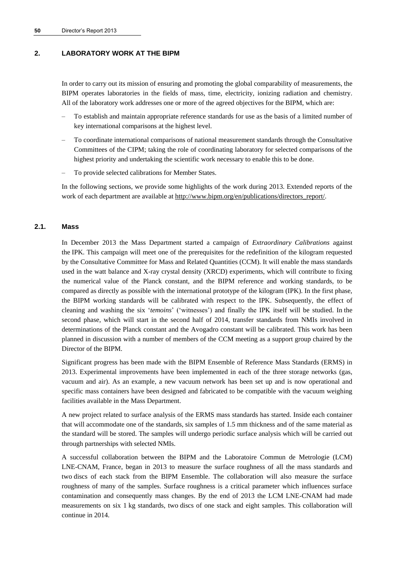## **2. LABORATORY WORK AT THE BIPM**

In order to carry out its mission of ensuring and promoting the global comparability of measurements, the BIPM operates laboratories in the fields of mass, time, electricity, ionizing radiation and chemistry. All of the laboratory work addresses one or more of the agreed objectives for the BIPM, which are:

- To establish and maintain appropriate reference standards for use as the basis of a limited number of key international comparisons at the highest level.
- To coordinate international comparisons of national measurement standards through the Consultative Committees of the CIPM; taking the role of coordinating laboratory for selected comparisons of the highest priority and undertaking the scientific work necessary to enable this to be done.
- To provide selected calibrations for Member States.

In the following sections, we provide some highlights of the work during 2013. Extended reports of the work of each department are available at [http://www.bipm.org/en/publications/directors\\_report/.](http://www.bipm.org/en/publications/directors_report/)

#### **2.1. Mass**

In December 2013 the Mass Department started a campaign of *Extraordinary Calibrations* against the IPK. This campaign will meet one of the prerequisites for the redefinition of the kilogram requested by the Consultative Committee for Mass and Related Quantities (CCM). It will enable the mass standards used in the watt balance and X-ray crystal density (XRCD) experiments, which will contribute to fixing the numerical value of the Planck constant, and the BIPM reference and working standards, to be compared as directly as possible with the international prototype of the kilogram (IPK). In the first phase, the BIPM working standards will be calibrated with respect to the IPK. Subsequently, the effect of cleaning and washing the six '*temoins*' ('witnesses') and finally the IPK itself will be studied. In the second phase, which will start in the second half of 2014, transfer standards from NMIs involved in determinations of the Planck constant and the Avogadro constant will be calibrated. This work has been planned in discussion with a number of members of the CCM meeting as a support group chaired by the Director of the BIPM.

Significant progress has been made with the BIPM Ensemble of Reference Mass Standards (ERMS) in 2013. Experimental improvements have been implemented in each of the three storage networks (gas, vacuum and air). As an example, a new vacuum network has been set up and is now operational and specific mass containers have been designed and fabricated to be compatible with the vacuum weighing facilities available in the Mass Department.

A new project related to surface analysis of the ERMS mass standards has started. Inside each container that will accommodate one of the standards, six samples of 1.5 mm thickness and of the same material as the standard will be stored. The samples will undergo periodic surface analysis which will be carried out through partnerships with selected NMIs.

A successful collaboration between the BIPM and the Laboratoire Commun de Metrologie (LCM) LNE-CNAM, France, began in 2013 to measure the surface roughness of all the mass standards and two discs of each stack from the BIPM Ensemble. The collaboration will also measure the surface roughness of many of the samples. Surface roughness is a critical parameter which influences surface contamination and consequently mass changes. By the end of 2013 the LCM LNE-CNAM had made measurements on six 1 kg standards, two discs of one stack and eight samples. This collaboration will continue in 2014.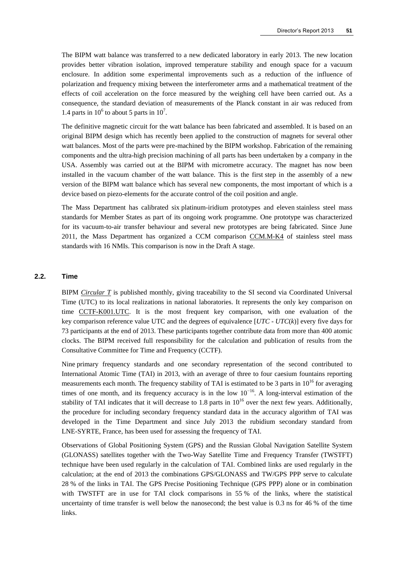The BIPM watt balance was transferred to a new dedicated laboratory in early 2013. The new location provides better vibration isolation, improved temperature stability and enough space for a vacuum enclosure. In addition some experimental improvements such as a reduction of the influence of polarization and frequency mixing between the interferometer arms and a mathematical treatment of the effects of coil acceleration on the force measured by the weighing cell have been carried out. As a consequence, the standard deviation of measurements of the Planck constant in air was reduced from 1.4 parts in  $10^6$  to about 5 parts in  $10^7$ .

The definitive magnetic circuit for the watt balance has been fabricated and assembled. It is based on an original BIPM design which has recently been applied to the construction of magnets for several other watt balances. Most of the parts were pre-machined by the BIPM workshop. Fabrication of the remaining components and the ultra-high precision machining of all parts has been undertaken by a company in the USA. Assembly was carried out at the BIPM with micrometre accuracy. The magnet has now been installed in the vacuum chamber of the watt balance. This is the first step in the assembly of a new version of the BIPM watt balance which has several new components, the most important of which is a device based on piezo-elements for the accurate control of the coil position and angle.

The Mass Department has calibrated six platinum-iridium prototypes and eleven stainless steel mass standards for Member States as part of its ongoing work programme. One prototype was characterized for its vacuum-to-air transfer behaviour and several new prototypes are being fabricated. Since June 2011, the Mass Department has organized a CCM comparison [CCM.M-K4](http://kcdb.bipm.org/appendixB/KCDB_ApB_info.asp?cmp_idy=403&cmp_cod=CCM.M-K4&prov=exalead) of stainless steel mass standards with 16 NMIs. This comparison is now in the Draft A stage.

#### **2.2. Time**

BIPM *[Circular T](http://www.bipm.org/jsp/en/TimeFtp.jsp?TypePub=publication#nohref)* is published monthly, giving traceability to the SI second via Coordinated Universal Time (UTC) to its local realizations in national laboratories. It represents the only key comparison on time [CCTF-K001.UTC.](http://kcdb.bipm.org/appendixB/KCDB_ApB_info.asp?cmp_idy=617&cmp_cod=CCTF-K001.UTC&prov=exalead) It is the most frequent key comparison, with one evaluation of the key comparison reference value UTC and the degrees of equivalence [*UTC* - *UTC*(*k*)] every five days for 73 participants at the end of 2013. These participants together contribute data from more than 400 atomic clocks. The BIPM received full responsibility for the calculation and publication of results from the Consultative Committee for Time and Frequency (CCTF).

Nine primary frequency standards and one secondary representation of the second contributed to International Atomic Time (TAI) in 2013, with an average of three to four caesium fountains reporting measurements each month. The frequency stability of TAI is estimated to be 3 parts in  $10^{16}$  for averaging times of one month, and its frequency accuracy is in the low  $10^{-16}$ . A long-interval estimation of the stability of TAI indicates that it will decrease to 1.8 parts in  $10^{16}$  over the next few years. Additionally, the procedure for including secondary frequency standard data in the accuracy algorithm of TAI was developed in the Time Department and since July 2013 the rubidium secondary standard from LNE-SYRTE, France, has been used for assessing the frequency of TAI.

Observations of Global Positioning System (GPS) and the Russian Global Navigation Satellite System (GLONASS) satellites together with the Two-Way Satellite Time and Frequency Transfer (TWSTFT) technique have been used regularly in the calculation of TAI. Combined links are used regularly in the calculation; at the end of 2013 the combinations GPS/GLONASS and TW/GPS PPP serve to calculate 28 % of the links in TAI. The GPS Precise Positioning Technique (GPS PPP) alone or in combination with TWSTFT are in use for TAI clock comparisons in 55% of the links, where the statistical uncertainty of time transfer is well below the nanosecond; the best value is 0.3 ns for 46 % of the time links.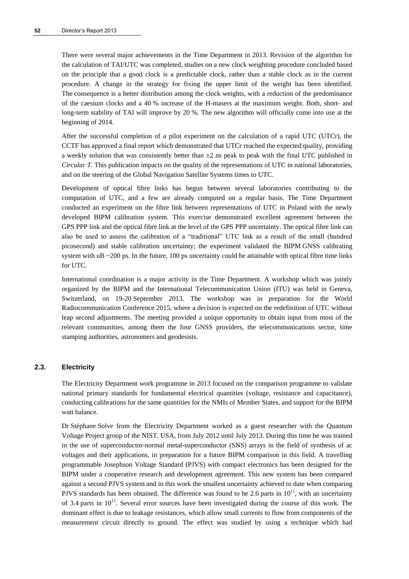There were several major achievements in the Time Department in 2013. Revision of the algorithm for the calculation of TAI/UTC was completed, studies on a new clock weighting procedure concluded based on the principle that a good clock is a predictable clock, rather than a stable clock as in the current procedure. A change in the strategy for fixing the upper limit of the weight has been identified. The consequence is a better distribution among the clock weights, with a reduction of the predominance of the caesium clocks and a 40 % increase of the H-masers at the maximum weight. Both, short- and long-term stability of TAI will improve by 20 %. The new algorithm will officially come into use at the beginning of 2014.

After the successful completion of a pilot experiment on the calculation of a rapid UTC (UTCr), the CCTF has approved a final report which demonstrated that UTCr reached the expected quality, providing a weekly solution that was consistently better than  $\pm 2$  ns peak to peak with the final UTC published in *Circular T*. This publication impacts on the quality of the representations of UTC in national laboratories, and on the steering of the Global Navigation Satellite Systems times to UTC.

Development of optical fibre links has begun between several laboratories contributing to the computation of UTC, and a few are already computed on a regular basis. The Time Department conducted an experiment on the fibre link between representations of UTC in Poland with the newly developed BIPM calibration system. This exercise demonstrated excellent agreement between the GPS PPP link and the optical fibre link at the level of the GPS PPP uncertainty. The optical fibre link can also be used to assess the calibration of a "traditional" UTC link as a result of the small (hundred picosecond) and stable calibration uncertainty; the experiment validated the BIPM GNSS calibrating system with uB  $\sim$  200 ps. In the future, 100 ps uncertainty could be attainable with optical fibre time links for UTC.

International coordination is a major activity in the Time Department. A workshop which was jointly organized by the BIPM and the International Telecommunication Union (ITU) was held in Geneva, Switzerland, on 19-20 September 2013. The workshop was in preparation for the World Radiocommunication Conference 2015, where a decision is expected on the redefinition of UTC without leap second adjustments. The meeting provided a unique opportunity to obtain input from most of the relevant communities, among them the four GNSS providers, the telecommunications sector, time stamping authorities, astronomers and geodesists.

#### **2.3. Electricity**

The Electricity Department work programme in 2013 focused on the comparison programme to validate national primary standards for fundamental electrical quantities (voltage, resistance and capacitance), conducting calibrations for the same quantities for the NMIs of Member States, and support for the BIPM watt balance.

Dr Stéphane Solve from the Electricity Department worked as a guest researcher with the Quantum Voltage Project group of the NIST, USA, from July 2012 until July 2013. During this time he was trained in the use of superconductor-normal metal-superconductor (SNS) arrays in the field of synthesis of ac voltages and their applications, in preparation for a future BIPM comparison in this field. A travelling programmable Josephson Voltage Standard (PJVS) with compact electronics has been designed for the BIPM under a cooperative research and development agreement. This new system has been compared against a second PJVS system and in this work the smallest uncertainty achieved to date when comparing PJVS standards has been obtained. The difference was found to be 2.6 parts in  $10^{11}$ , with an uncertainty of 3.4 parts in  $10^{11}$ . Several error sources have been investigated during the course of this work. The dominant effect is due to leakage resistances, which allow small currents to flow from components of the measurement circuit directly to ground. The effect was studied by using a technique which had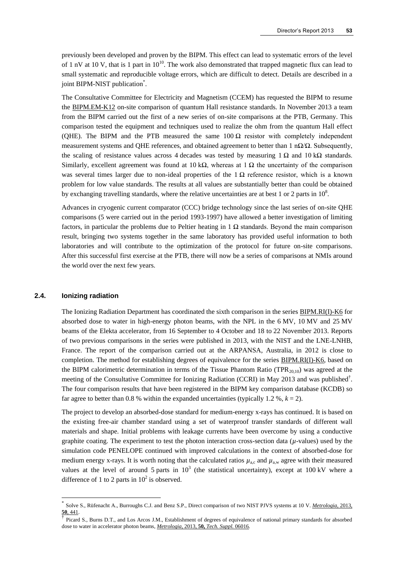previously been developed and proven by the BIPM. This effect can lead to systematic errors of the level of 1 nV at 10 V, that is 1 part in  $10^{10}$ . The work also demonstrated that trapped magnetic flux can lead to small systematic and reproducible voltage errors, which are difficult to detect. Details are described in a joint BIPM-NIST publication\*.

The Consultative Committee for Electricity and Magnetism (CCEM) has requested the BIPM to resume the [BIPM.EM-K12](http://kcdb.bipm.org/appendixB/KCDB_ApB_search_result.asp?search=2&cmp_cod_search=BIPM.EM-K12&match_exact=0) on-site comparison of quantum Hall resistance standards. In November 2013 a team from the BIPM carried out the first of a new series of on-site comparisons at the PTB, Germany. This comparison tested the equipment and techniques used to realize the ohm from the quantum Hall effect (QHE). The BIPM and the PTB measured the same  $100 \Omega$  resistor with completely independent measurement systems and QHE references, and obtained agreement to better than 1 n $\Omega/\Omega$ . Subsequently, the scaling of resistance values across 4 decades was tested by measuring 1  $\Omega$  and 10 k $\Omega$  standards. Similarly, excellent agreement was found at 10 kΩ, whereas at 1 Ω the uncertainty of the comparison was several times larger due to non-ideal properties of the  $1 \Omega$  reference resistor, which is a known problem for low value standards. The results at all values are substantially better than could be obtained by exchanging travelling standards, where the relative uncertainties are at best 1 or 2 parts in  $10^8$ .

Advances in cryogenic current comparator (CCC) bridge technology since the last series of on-site QHE comparisons (5 were carried out in the period 1993-1997) have allowed a better investigation of limiting factors, in particular the problems due to Peltier heating in 1  $\Omega$  standards. Beyond the main comparison result, bringing two systems together in the same laboratory has provided useful information to both laboratories and will contribute to the optimization of the protocol for future on-site comparisons. After this successful first exercise at the PTB, there will now be a series of comparisons at NMIs around the world over the next few years.

#### **2.4. Ionizing radiation**

l

The Ionizing Radiation Department has coordinated the sixth comparison in the serie[s BIPM.RI\(I\)-K6](http://kcdb.bipm.org/appendixB/KCDB_ApB_info.asp?cmp_idy=958&cmp_cod=BIPM.RI%28I%29-K6&prov=exalead) for absorbed dose to water in high-energy photon beams, with the NPL in the 6 MV, 10 MV and 25 MV beams of the Elekta accelerator, from 16 September to 4 October and 18 to 22 November 2013. Reports of two previous comparisons in the series were published in 2013, with the NIST and the LNE-LNHB, France. The report of the comparison carried out at the ARPANSA, Australia, in 2012 is close to completion. The method for establishing degrees of equivalence for the series [BIPM.RI\(I\)-K6,](http://kcdb.bipm.org/appendixB/KCDB_ApB_info.asp?cmp_idy=958&cmp_cod=BIPM.RI%28I%29-K6&prov=exalead) based on the BIPM calorimetric determination in terms of the Tissue Phantom Ratio (TPR<sub>20,10</sub>) was agreed at the meeting of the Consultative Committee for Ionizing Radiation (CCRI) in May 2013 and was published<sup>†</sup>. The four comparison results that have been registered in the BIPM key comparison database (KCDB) so far agree to better than 0.8 % within the expanded uncertainties (typically 1.2 %,  $k = 2$ ).

The project to develop an absorbed-dose standard for medium-energy x-rays has continued. It is based on the existing free-air chamber standard using a set of waterproof transfer standards of different wall materials and shape. Initial problems with leakage currents have been overcome by using a conductive graphite coating. The experiment to test the photon interaction cross-section data  $(\mu$ -values) used by the simulation code PENELOPE continued with improved calculations in the context of absorbed-dose for medium energy x-rays. It is worth noting that the calculated ratios  $\mu_{\text{a,c}}$  and  $\mu_{\text{a,w}}$  agree with their measured values at the level of around 5 parts in  $10^3$  (the statistical uncertainty), except at 100 kV where a difference of 1 to 2 parts in  $10^2$  is observed.

<sup>\*</sup> Solve S., Rüfenacht A., Burroughs C.J. and Benz S.P., Direct comparison of two NIST PJVS systems at 10 V. *[Metrologia](http://stacks.iop.org/0026-1394/50/441)*, 2013, **50**[, 441.](http://stacks.iop.org/0026-1394/50/441)

<sup>†</sup> Picard S., Burns D.T., and Los Arcos J.M., Establishment of degrees of equivalence of national primary standards for absorbed dose to water in accelerator photon beams, *Metrologia,* 2013, **50,** *[Tech. Suppl.](http://kcdb.bipm.org/AppendixB/appbresults/bipm.ri%28i%29-k6/bipm.ri%28i%29-k6_does_jul2013.pdf)* 06016*.*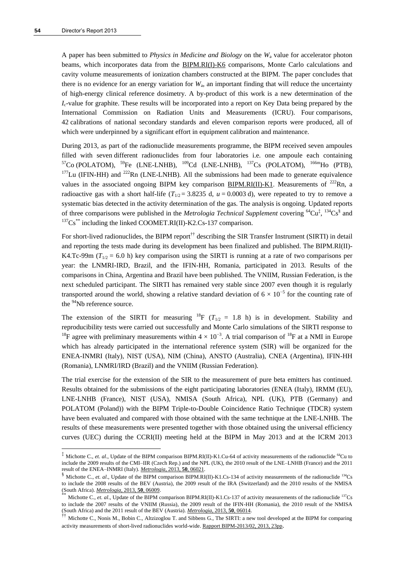l

A paper has been submitted to *Physics in Medicine and Biology* on the *W*<sup>a</sup> value for accelerator photon beams, which incorporates data from the [BIPM.RI\(I\)-K6](http://kcdb.bipm.org/appendixB/KCDB_ApB_info.asp?cmp_idy=958&cmp_cod=BIPM.RI%28I%29-K6&prov=exalead) comparisons, Monte Carlo calculations and cavity volume measurements of ionization chambers constructed at the BIPM. The paper concludes that there is no evidence for an energy variation for  $W_a$ , an important finding that will reduce the uncertainty of high-energy clinical reference dosimetry. A by-product of this work is a new determination of the *I*<sub>c</sub>-value for graphite. These results will be incorporated into a report on Key Data being prepared by the International Commission on Radiation Units and Measurements (ICRU). Four comparisons, 42 calibrations of national secondary standards and eleven comparison reports were produced, all of which were underpinned by a significant effort in equipment calibration and maintenance.

During 2013, as part of the radionuclide measurements programme, the BIPM received seven ampoules filled with seven different radionuclides from four laboratories i.e. one ampoule each containing  $57C<sub>O</sub>$  (POLATOM),  $59Fe$  (LNE-LNHB),  $109Cd$  (LNE-LNHB),  $137Cs$  (POLATOM),  $166mH<sub>O</sub>$  (PTB),  $177$ Lu (IFIN-HH) and  $222$ Rn (LNE-LNHB). All the submissions had been made to generate equivalence values in the associated ongoing BIPM key comparison [BIPM.RI\(II\)-K1.](http://kcdb.bipm.org/AppendixB/KCDB_ApB_search_result.asp?search=1&met_idy=4&bra_idy=18&cmt_idy=1&ett_idy_org=0&epo_idy=0&cou_cod=0) Measurements of  $^{222}$ Rn, a radioactive gas with a short half-life  $(T_{1/2} = 3.8235 \text{ d}, u = 0.0003 \text{ d})$ , were repeated to try to remove a systematic bias detected in the activity determination of the gas. The analysis is ongoing. Updated reports of three comparisons were published in the *Metrologia Technical Supplement* covering <sup>64</sup>Cu<sup>‡</sup>, <sup>134</sup>Cs<sup>§</sup> and  $137\text{Cs}^{**}$  including the linked COOMET.RI(II)-K2.Cs-137 comparison.

For short-lived radionuclides, the BIPM report<sup>††</sup> describing the SIR Transfer Instrument (SIRTI) in detail and reporting the tests made during its development has been finalized and published. The [BIPM.RI\(II\)-](http://kcdb.bipm.org/appendixB/KCDB_ApB_info.asp?cmp_idy=869&cmp_cod=BIPM.RI(II)-K4.Tc-99m&prov=exalead) [K4.Tc-99m](http://kcdb.bipm.org/appendixB/KCDB_ApB_info.asp?cmp_idy=869&cmp_cod=BIPM.RI(II)-K4.Tc-99m&prov=exalead) ( $T_{1/2}$  = 6.0 h) key comparison using the SIRTI is running at a rate of two comparisons per year: the LNMRI-IRD, Brazil, and the IFIN-HH, Romania, participated in 2013. Results of the comparisons in China, Argentina and Brazil have been published. The VNIIM, Russian Federation, is the next scheduled participant. The SIRTI has remained very stable since 2007 even though it is regularly transported around the world, showing a relative standard deviation of  $6 \times 10^{-5}$  for the counting rate of the <sup>94</sup>Nb reference source.

The extension of the SIRTI for measuring <sup>18</sup>F ( $T_{1/2}$  = 1.8 h) is in development. Stability and reproducibility tests were carried out successfully and Monte Carlo simulations of the SIRTI response to <sup>18</sup>F agree with preliminary measurements within  $4 \times 10^{-3}$ . A trial comparison of <sup>18</sup>F at a NMI in Europe which has already participated in the international reference system (SIR) will be organized for the ENEA-INMRI (Italy), NIST (USA), NIM (China), ANSTO (Australia), CNEA (Argentina), IFIN-HH (Romania), LNMRI/IRD (Brazil) and the VNIIM (Russian Federation).

The trial exercise for the extension of the SIR to the measurement of pure beta emitters has continued. Results obtained for the submissions of the eight participating laboratories (ENEA (Italy), IRMM (EU), LNE-LNHB (France), NIST (USA), NMISA (South Africa), NPL (UK), PTB (Germany) and POLATOM (Poland)) with the BIPM Triple-to-Double Coincidence Ratio Technique (TDCR) system have been evaluated and compared with those obtained with the same technique at the LNE-LNHB. The results of these measurements were presented together with those obtained using the universal efficiency curves (UEC) during the CCRI(II) meeting held at the BIPM in May 2013 and at the ICRM 2013

<sup>&</sup>lt;sup>‡</sup> Michotte C., *et. al.*, Update of the BIPM comparison BIPM.RI(II)-K1.Cu-64 of activity measurements of the radionuclide <sup>64</sup>Cu to include the 2009 results of the CMI–IIR (Czech Rep.) and the NPL (UK), the 2010 result of the LNE–LNHB (France) and the 2011 result of the ENEA–INMRI (Italy). *[Metrologia](http://stacks.iop.org/0026-1394/50/06021)*, 2013, **50**, 06021.

<sup>&</sup>lt;sup>§</sup> Michotte C., *et. al.*, Update of the BIPM comparison BIPM.RI(II)-K1.Cs-134 of activity measurements of the radionuclide <sup>134</sup>Cs to include the 2008 results of the BEV (Austria), the 2009 result of the IRA (Switzerland) and the 2010 results of the NMISA (South Africa). *[Metrologia](http://stacks.iop.org/0026-1394/50/06009)*, 2013, **50**, 06009.

Michotte C., *et. al.*, Update of the BIPM comparison BIPM.RI(II)-K1.Cs-137 of activity measurements of the radionuclide <sup>137</sup>Cs to include the 2007 results of the VNIIM (Russia), the 2009 result of the IFIN-HH (Romania), the 2010 result of the NMISA (South Africa) and the 2011 result of the BEV (Austria). *[Metrologia](http://stacks.iop.org/0026-1394/50/06014)*, 2013, **50**, 06014.

<sup>&</sup>lt;sup>††</sup> Michotte C., Nonis M., Bobin C., Altzizoglou T. and Sibbens G., The SIRTI: a new tool developed at the BIPM for comparing activity measurements of short-lived radionuclides world-wide. [Rapport BIPM-2013/02, 2013, 23pp](http://www.bipm.org/utils/common/pdf/rapportBIPM/2013/02.pdf).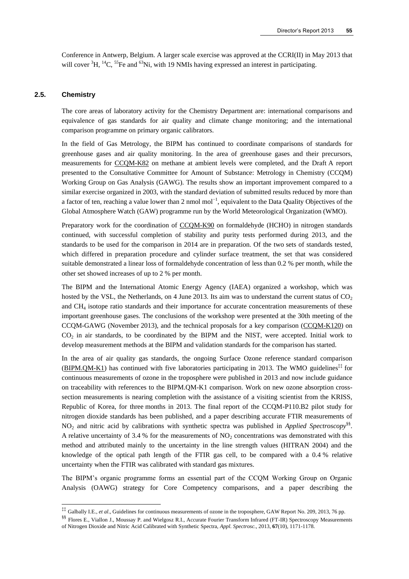Conference in Antwerp, Belgium. A larger scale exercise was approved at the CCRI(II) in May 2013 that will cover <sup>3</sup>H, <sup>14</sup>C, <sup>55</sup>Fe and <sup>63</sup>Ni, with 19 NMIs having expressed an interest in participating.

## **2.5. Chemistry**

l

The core areas of laboratory activity for the Chemistry Department are: international comparisons and equivalence of gas standards for air quality and climate change monitoring; and the international comparison programme on primary organic calibrators.

In the field of Gas Metrology, the BIPM has continued to coordinate comparisons of standards for greenhouse gases and air quality monitoring. In the area of greenhouse gases and their precursors, measurements for [CCQM-K82](http://kcdb.bipm.org/appendixB/KCDB_ApB_info.asp?cmp_idy=1062&cmp_cod=CCQM-K82&prov=exalead) on methane at ambient levels were completed, and the Draft A report presented to the Consultative Committee for Amount of Substance: Metrology in Chemistry (CCQM) Working Group on Gas Analysis (GAWG). The results show an important improvement compared to a similar exercise organized in 2003, with the standard deviation of submitted results reduced by more than a factor of ten, reaching a value lower than 2 nmol mol<sup>-1</sup>, equivalent to the Data Quality Objectives of the Global Atmosphere Watch (GAW) programme run by the World Meteorological Organization (WMO).

Preparatory work for the coordination of [CCQM-K90](http://kcdb.bipm.org/appendixB/KCDB_ApB_info.asp?cmp_idy=1095&cmp_cod=CCQM-K90&prov=exalead) on formaldehyde (HCHO) in nitrogen standards continued, with successful completion of stability and purity tests performed during 2013, and the standards to be used for the comparison in 2014 are in preparation. Of the two sets of standards tested, which differed in preparation procedure and cylinder surface treatment, the set that was considered suitable demonstrated a linear loss of formaldehyde concentration of less than 0.2 % per month, while the other set showed increases of up to 2 % per month.

The BIPM and the International Atomic Energy Agency (IAEA) organized a workshop, which was hosted by the VSL, the Netherlands, on 4 June 2013. Its aim was to understand the current status of  $CO<sub>2</sub>$ and CH<sup>4</sup> isotope ratio standards and their importance for accurate concentration measurements of these important greenhouse gases. The conclusions of the workshop were presented at the 30th meeting of the CCQM-GAWG (November 2013), and the technical proposals for a key comparison [\(CCQM-K120\)](http://kcdb.bipm.org/appendixB/KCDB_ApB_info.asp?cmp_idy=1364&cmp_cod=CCQM-K120&prov=exalead) on CO<sup>2</sup> in air standards, to be coordinated by the BIPM and the NIST, were accepted. Initial work to develop measurement methods at the BIPM and validation standards for the comparison has started.

In the area of air quality gas standards, the ongoing Surface Ozone reference standard comparison [\(BIPM.QM-K1\)](http://kcdb.bipm.org/appendixB/KCDB_ApB_info.asp?cmp_idy=733&cmp_cod=BIPM.QM-K1&prov=exalead) has continued with five laboratories participating in 2013. The WMO guidelines<sup>‡‡</sup> for continuous measurements of ozone in the troposphere were published in 2013 and now include guidance on traceability with references to the BIPM.QM-K1 comparison. Work on new ozone absorption crosssection measurements is nearing completion with the assistance of a visiting scientist from the KRISS, Republic of Korea, for three months in 2013. The final report of the CCQM-P110.B2 pilot study for nitrogen dioxide standards has been published, and a paper describing accurate FTIR measurements of NO<sup>2</sup> and nitric acid by calibrations with synthetic spectra was published in *Applied Spectroscopy*§§ . A relative uncertainty of 3.4 % for the measurements of  $NO<sub>2</sub>$  concentrations was demonstrated with this method and attributed mainly to the uncertainty in the line strength values (HITRAN 2004) and the knowledge of the optical path length of the FTIR gas cell, to be compared with a 0.4 % relative uncertainty when the FTIR was calibrated with standard gas mixtures.

The BIPM's organic programme forms an essential part of the CCQM Working Group on Organic Analysis (OAWG) strategy for Core Competency comparisons, and a paper describing the

<sup>‡‡</sup> Galbally I.E., *et al*., Guidelines for continuous measurements of ozone in the troposphere, GAW Report No. 209, 2013, 76 pp.

<sup>§§</sup> Flores E., Viallon J., Moussay P. and Wielgosz R.I., Accurate Fourier Transform Infrared (FT-IR) Spectroscopy Measurements of Nitrogen Dioxide and Nitric Acid Calibrated with Synthetic Spectra, *Appl. Spectrosc.*, 2013, **67**(10), 1171-1178.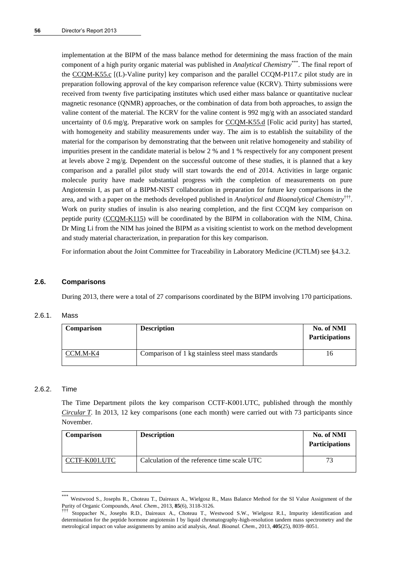implementation at the BIPM of the mass balance method for determining the mass fraction of the main component of a high purity organic material was published in *Analytical Chemistry*\*\*\*. The final report of the [CCQM-K55.c](http://kcdb.bipm.org/appendixB/KCDB_ApB_info.asp?cmp_idy=1072&cmp_cod=CCQM-K55.c&prov=exalead) [(L)-Valine purity] key comparison and the parallel CCQM-P117.c pilot study are in preparation following approval of the key comparison reference value (KCRV). Thirty submissions were received from twenty five participating institutes which used either mass balance or quantitative nuclear magnetic resonance (QNMR) approaches, or the combination of data from both approaches, to assign the valine content of the material. The KCRV for the valine content is 992 mg/g with an associated standard uncertainty of 0.6 mg/g. Preparative work on samples for [CCQM-K55.d](http://kcdb.bipm.org/appendixB/KCDB_ApB_info.asp?cmp_idy=1359&cmp_cod=CCQM-K55.d&prov=exalead) [Folic acid purity] has started, with homogeneity and stability measurements under way. The aim is to establish the suitability of the material for the comparison by demonstrating that the between unit relative homogeneity and stability of impurities present in the candidate material is below 2 % and 1 % respectively for any component present at levels above 2 mg/g. Dependent on the successful outcome of these studies, it is planned that a key comparison and a parallel pilot study will start towards the end of 2014. Activities in large organic molecule purity have made substantial progress with the completion of measurements on pure Angiotensin I, as part of a BIPM-NIST collaboration in preparation for future key comparisons in the area, and with a paper on the methods developed published in *Analytical and Bioanalytical Chemistry*††† . Work on purity studies of insulin is also nearing completion, and the first CCQM key comparison on peptide purity [\(CCQM-K115\)](http://kcdb.bipm.org/appendixB/KCDB_ApB_info.asp?cmp_idy=1339&cmp_cod=CCQM-K115&prov=exalead) will be coordinated by the BIPM in collaboration with the NIM, China. Dr Ming Li from the NIM has joined the BIPM as a visiting scientist to work on the method development and study material characterization, in preparation for this key comparison.

For information about the Joint Committee for Traceability in Laboratory Medicine (JCTLM) see §4.3.2.

#### **2.6. Comparisons**

During 2013, there were a total of 27 comparisons coordinated by the BIPM involving 170 participations.

#### 2.6.1. Mass

| <b>Comparison</b> | <b>Description</b>                                | No. of NMI<br><b>Participations</b> |
|-------------------|---------------------------------------------------|-------------------------------------|
| CCM.M-K4          | Comparison of 1 kg stainless steel mass standards | Ιb                                  |

### 2.6.2. Time

l

The Time Department pilots the key comparison CCTF-K001.UTC, published through the monthly *[Circular](http://www.bipm.org/jsp/en/TimeFtp.jsp?TypePub=publication) T*. In 2013, 12 key comparisons (one each month) were carried out with 73 participants since November.

| <b>Comparison</b> | <b>Description</b>                          | No. of NMI<br><b>Participations</b> |
|-------------------|---------------------------------------------|-------------------------------------|
| CCTF-K001.UTC     | Calculation of the reference time scale UTC | 73                                  |

Westwood S., Josephs R., Choteau T., Daireaux A., Wielgosz R., Mass Balance Method for the SI Value Assignment of the Purity of Organic Compounds, *Anal. Chem.*, 2013, **85**(6), 3118-3126.

<sup>†††</sup> Stoppacher N., Josephs R.D., Daireaux A., Choteau T., Westwood S.W., Wielgosz R.I., Impurity identification and determination for the peptide hormone angiotensin I by liquid chromatography-high-resolution tandem mass spectrometry and the metrological impact on value assignments by amino acid analysis, *Anal. Bioanal. Chem*., 2013, **405**(25), 8039–8051.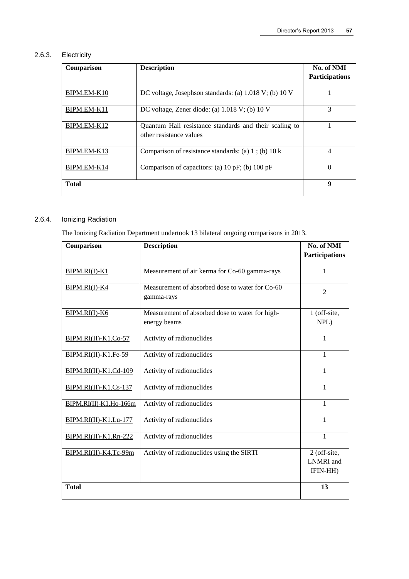## 2.6.3. Electricity

| Comparison   | <b>Description</b>                                                                | No. of NMI<br><b>Participations</b> |
|--------------|-----------------------------------------------------------------------------------|-------------------------------------|
| BIPM.EM-K10  | DC voltage, Josephson standards: (a) 1.018 V; (b) 10 V                            |                                     |
| BIPM.EM-K11  | DC voltage, Zener diode: (a) $1.018$ V; (b) $10$ V                                | 3                                   |
| BIPM.EM-K12  | Quantum Hall resistance standards and their scaling to<br>other resistance values |                                     |
| BIPM.EM-K13  | Comparison of resistance standards: (a) $1$ ; (b) $10 \text{ k}$                  | $\overline{4}$                      |
| BIPM.EM-K14  | Comparison of capacitors: (a) 10 pF; (b) 100 pF                                   | 0                                   |
| <b>Total</b> |                                                                                   | 9                                   |

# 2.6.4. Ionizing Radiation

The Ionizing Radiation Department undertook 13 bilateral ongoing comparisons in 2013.

| Comparison             | <b>Description</b>                                            | No. of NMI<br><b>Participations</b>          |
|------------------------|---------------------------------------------------------------|----------------------------------------------|
|                        |                                                               |                                              |
| BIPM.RI(I)-K1          | Measurement of air kerma for Co-60 gamma-rays                 | $\mathbf{1}$                                 |
| BIPM.RI(I)-K4          | Measurement of absorbed dose to water for Co-60<br>gamma-rays | $\overline{2}$                               |
| BIPM.RI(I)-K6          | Measurement of absorbed dose to water for high-               | 1 (off-site,                                 |
|                        | energy beams                                                  | NPL)                                         |
| BIPM.RI(II)-K1.Co-57   | Activity of radionuclides                                     | $\mathbf{1}$                                 |
| BIPM.RI(II)-K1.Fe-59   | Activity of radionuclides                                     | 1                                            |
| BIPM.RI(II)-K1.Cd-109  | Activity of radionuclides                                     | $\mathbf{1}$                                 |
| BIPM.RI(II)-K1.Cs-137  | Activity of radionuclides                                     | 1                                            |
| BIPM.RI(II)-K1.Ho-166m | Activity of radionuclides                                     | 1                                            |
| BIPM.RI(II)-K1.Lu-177  | Activity of radionuclides                                     | 1                                            |
| BIPM.RI(II)-K1.Rn-222  | Activity of radionuclides                                     | 1                                            |
| BIPM.RI(II)-K4.Tc-99m  | Activity of radionuclides using the SIRTI                     | 2 (off-site,<br><b>LNMRI</b> and<br>IFIN-HH) |
| <b>Total</b>           |                                                               | 13                                           |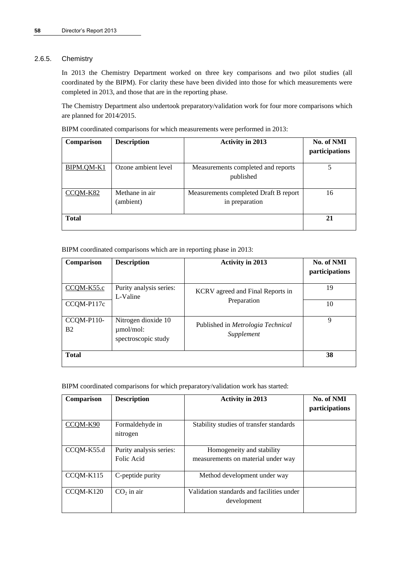## 2.6.5. Chemistry

In 2013 the Chemistry Department worked on three key comparisons and two pilot studies (all coordinated by the BIPM). For clarity these have been divided into those for which measurements were completed in 2013, and those that are in the reporting phase.

The Chemistry Department also undertook preparatory/validation work for four more comparisons which are planned for 2014/2015.

| BIPM coordinated comparisons for which measurements were performed in 2013: |                          |  |                         |            |
|-----------------------------------------------------------------------------|--------------------------|--|-------------------------|------------|
|                                                                             | Comparison   Description |  | <b>Activity in 2013</b> | No. of NMI |

| <b>Comparison</b> | <b>Description</b>          | ACUVILY III ZULJ                                        | IVO. OI IVIVII<br>participations |
|-------------------|-----------------------------|---------------------------------------------------------|----------------------------------|
| BIPM.QM-K1        | Ozone ambient level         | Measurements completed and reports<br>published         |                                  |
| $CCOM-K82$        | Methane in air<br>(ambient) | Measurements completed Draft B report<br>in preparation | 16                               |
| <b>Total</b>      |                             |                                                         | 21                               |

BIPM coordinated comparisons which are in reporting phase in 2013:

| Comparison              | <b>Description</b>                                           | <b>Activity in 2013</b>                         | No. of NMI<br>participations |
|-------------------------|--------------------------------------------------------------|-------------------------------------------------|------------------------------|
| CCQM-K55.c              | Purity analysis series:<br>L-Valine                          | KCRV agreed and Final Reports in                | 19                           |
| CCQM-P117c              |                                                              | Preparation                                     | 10                           |
| CCQM-P110-<br><b>B2</b> | Nitrogen dioxide 10<br>$\mu$ mol/mol:<br>spectroscopic study | Published in Metrologia Technical<br>Supplement | 9                            |
| <b>Total</b>            |                                                              |                                                 | 38                           |

BIPM coordinated comparisons for which preparatory/validation work has started:

| Comparison | <b>Description</b>                    | <b>Activity in 2013</b>                                         | No. of NMI<br><i>participations</i> |
|------------|---------------------------------------|-----------------------------------------------------------------|-------------------------------------|
| CCOM-K90   | Formaldehyde in<br>nitrogen           | Stability studies of transfer standards                         |                                     |
| CCQM-K55.d | Purity analysis series:<br>Folic Acid | Homogeneity and stability<br>measurements on material under way |                                     |
| CCQM-K115  | C-peptide purity                      | Method development under way                                    |                                     |
| CCOM-K120  | $CO2$ in air                          | Validation standards and facilities under<br>development        |                                     |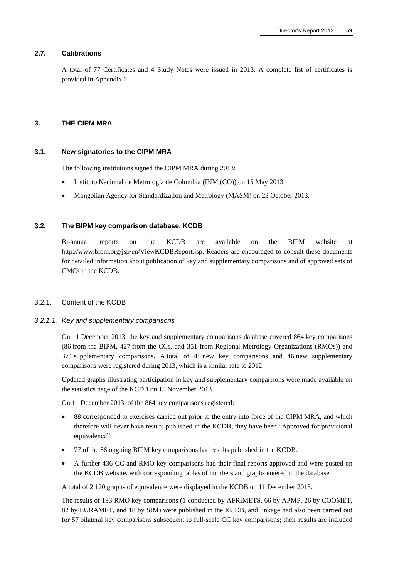## **2.7. Calibrations**

A total of 77 Certificates and 4 Study Notes were issued in 2013. A complete list of certificates is provided in Appendix 2.

#### **3. THE CIPM MRA**

#### **3.1. New signatories to the CIPM MRA**

The following institutions signed the CIPM MRA during 2013:

- Instituto Nacional de Metrología de Colombia (INM (CO)) on 15 May 2013
- Mongolian Agency for Standardization and Metrology (MASM) on 23 October 2013.

#### **3.2. The BIPM key comparison database, KCDB**

Bi-annual reports on the KCDB are available on the BIPM website at [http://www.bipm.org/jsp/en/ViewKCDBReport.jsp.](http://www.bipm.org/jsp/en/ViewKCDBReport.jsp) Readers are encouraged to consult these documents for detailed information about publication of key and supplementary comparisons and of approved sets of CMCs in the KCDB.

#### 3.2.1. Content of the KCDB

#### *3.2.1.1. Key and supplementary comparisons*

On 11 December 2013, the key and supplementary comparisons database covered 864 key comparisons (86 from the BIPM, 427 from the CCs, and 351 from Regional Metrology Organizations (RMOs)) and 374 supplementary comparisons. A total of 45 new key comparisons and 46 new supplementary comparisons were registered during 2013, which is a similar rate to 2012.

Updated graphs illustrating participation in key and supplementary comparisons were made available on the statistics page of the KCDB on 18 November 2013.

On 11 December 2013, of the 864 key comparisons registered:

- 88 corresponded to exercises carried out prior to the entry into force of the CIPM MRA, and which therefore will never have results published in the KCDB; they have been "Approved for provisional equivalence".
- 77 of the 86 ongoing BIPM key comparisons had results published in the KCDB.
- A further 436 CC and RMO key comparisons had their final reports approved and were posted on the KCDB website, with corresponding tables of numbers and graphs entered in the database.

A total of 2 120 graphs of equivalence were displayed in the KCDB on 11 December 2013.

The results of 193 RMO key comparisons (1 conducted by AFRIMETS, 66 by APMP, 26 by COOMET, 82 by EURAMET, and 18 by SIM) were published in the KCDB, and linkage had also been carried out for 57 bilateral key comparisons subsequent to full-scale CC key comparisons; their results are included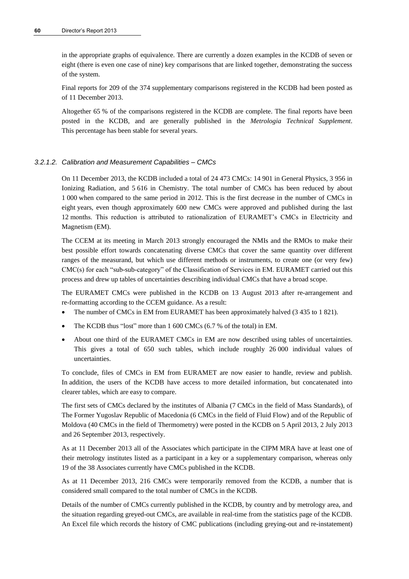in the appropriate graphs of equivalence. There are currently a dozen examples in the KCDB of seven or eight (there is even one case of nine) key comparisons that are linked together, demonstrating the success of the system.

Final reports for 209 of the 374 supplementary comparisons registered in the KCDB had been posted as of 11 December 2013.

Altogether 65 % of the comparisons registered in the KCDB are complete. The final reports have been posted in the KCDB, and are generally published in the *Metrologia Technical Supplement*. This percentage has been stable for several years.

## *3.2.1.2. Calibration and Measurement Capabilities – CMCs*

On 11 December 2013, the KCDB included a total of 24 473 CMCs: 14 901 in General Physics, 3 956 in Ionizing Radiation, and 5 616 in Chemistry. The total number of CMCs has been reduced by about 1 000 when compared to the same period in 2012. This is the first decrease in the number of CMCs in eight years, even though approximately 600 new CMCs were approved and published during the last 12 months. This reduction is attributed to rationalization of EURAMET's CMCs in Electricity and Magnetism (EM).

The CCEM at its meeting in March 2013 strongly encouraged the NMIs and the RMOs to make their best possible effort towards concatenating diverse CMCs that cover the same quantity over different ranges of the measurand, but which use different methods or instruments, to create one (or very few) CMC(s) for each "sub-sub-category" of the Classification of Services in EM. EURAMET carried out this process and drew up tables of uncertainties describing individual CMCs that have a broad scope.

The EURAMET CMCs were published in the KCDB on 13 August 2013 after re-arrangement and re-formatting according to the CCEM guidance. As a result:

- The number of CMCs in EM from EURAMET has been approximately halved (3 435 to 1 821).
- The KCDB thus "lost" more than 1 600 CMCs (6.7 % of the total) in EM.
- About one third of the EURAMET CMCs in EM are now described using tables of uncertainties. This gives a total of 650 such tables, which include roughly 26 000 individual values of uncertainties.

To conclude, files of CMCs in EM from EURAMET are now easier to handle, review and publish. In addition, the users of the KCDB have access to more detailed information, but concatenated into clearer tables, which are easy to compare.

The first sets of CMCs declared by the institutes of Albania (7 CMCs in the field of Mass Standards), of The Former Yugoslav Republic of Macedonia (6 CMCs in the field of Fluid Flow) and of the Republic of Moldova (40 CMCs in the field of Thermometry) were posted in the KCDB on 5 April 2013, 2 July 2013 and 26 September 2013, respectively.

As at 11 December 2013 all of the Associates which participate in the CIPM MRA have at least one of their metrology institutes listed as a participant in a key or a supplementary comparison, whereas only 19 of the 38 Associates currently have CMCs published in the KCDB.

As at 11 December 2013, 216 CMCs were temporarily removed from the KCDB, a number that is considered small compared to the total number of CMCs in the KCDB.

Details of the number of CMCs currently published in the KCDB, by country and by metrology area, and the situation regarding greyed-out CMCs, are available in real-time from the statistics page of the KCDB. An Excel file which records the history of CMC publications (including greying-out and re-instatement)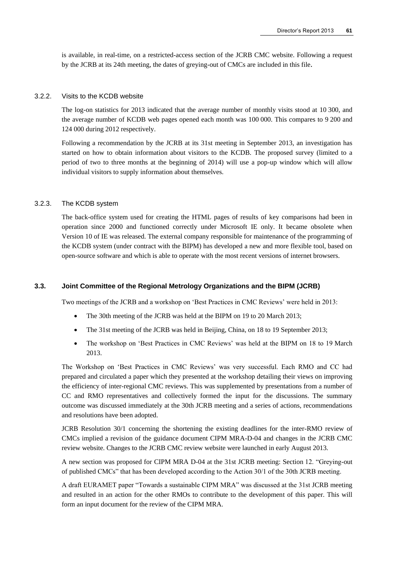is available, in real-time, on a restricted-access section of the JCRB CMC website. Following a request by the JCRB at its 24th meeting, the dates of greying-out of CMCs are included in this file.

## 3.2.2. Visits to the KCDB website

The log-on statistics for 2013 indicated that the average number of monthly visits stood at 10 300, and the average number of KCDB web pages opened each month was 100 000. This compares to 9 200 and 124 000 during 2012 respectively.

Following a recommendation by the JCRB at its 31st meeting in September 2013, an investigation has started on how to obtain information about visitors to the KCDB. The proposed survey (limited to a period of two to three months at the beginning of 2014) will use a pop-up window which will allow individual visitors to supply information about themselves.

#### 3.2.3. The KCDB system

The back-office system used for creating the HTML pages of results of key comparisons had been in operation since 2000 and functioned correctly under Microsoft IE only. It became obsolete when Version 10 of IE was released. The external company responsible for maintenance of the programming of the KCDB system (under contract with the BIPM) has developed a new and more flexible tool, based on open-source software and which is able to operate with the most recent versions of internet browsers.

#### **3.3. Joint Committee of the Regional Metrology Organizations and the BIPM (JCRB)**

Two meetings of the JCRB and a workshop on 'Best Practices in CMC Reviews' were held in 2013:

- The 30th meeting of the JCRB was held at the BIPM on 19 to 20 March 2013;
- The 31st meeting of the JCRB was held in Beijing, China, on 18 to 19 September 2013;
- The workshop on 'Best Practices in CMC Reviews' was held at the BIPM on 18 to 19 March 2013.

The Workshop on 'Best Practices in CMC Reviews' was very successful. Each RMO and CC had prepared and circulated a paper which they presented at the workshop detailing their views on improving the efficiency of inter-regional CMC reviews. This was supplemented by presentations from a number of CC and RMO representatives and collectively formed the input for the discussions. The summary outcome was discussed immediately at the 30th JCRB meeting and a series of actions, recommendations and resolutions have been adopted.

JCRB Resolution 30/1 concerning the shortening the existing deadlines for the inter-RMO review of CMCs implied a revision of the guidance document CIPM MRA-D-04 and changes in the JCRB CMC review website. Changes to the JCRB CMC review website were launched in early August 2013.

A new section was proposed for CIPM MRA D-04 at the 31st JCRB meeting: Section 12. "Greying-out of published CMCs" that has been developed according to the Action 30/1 of the 30th JCRB meeting.

A draft EURAMET paper "Towards a sustainable CIPM MRA" was discussed at the 31st JCRB meeting and resulted in an action for the other RMOs to contribute to the development of this paper. This will form an input document for the review of the CIPM MRA.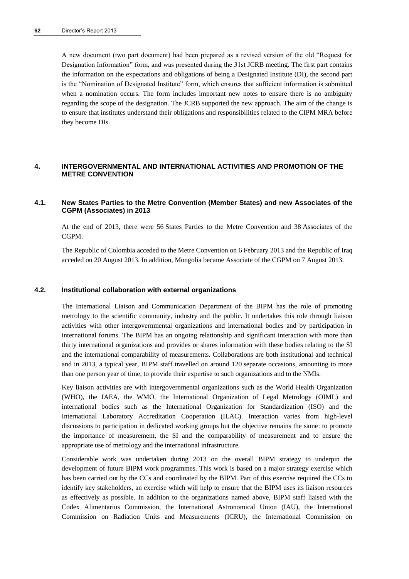A new document (two part document) had been prepared as a revised version of the old "Request for Designation Information" form, and was presented during the 31st JCRB meeting. The first part contains the information on the expectations and obligations of being a Designated Institute (DI), the second part is the "Nomination of Designated Institute" form, which ensures that sufficient information is submitted when a nomination occurs. The form includes important new notes to ensure there is no ambiguity regarding the scope of the designation. The JCRB supported the new approach. The aim of the change is to ensure that institutes understand their obligations and responsibilities related to the CIPM MRA before they become DIs.

## **4. INTERGOVERNMENTAL AND INTERNATIONAL ACTIVITIES AND PROMOTION OF THE METRE CONVENTION**

#### **4.1. New States Parties to the Metre Convention (Member States) and new Associates of the CGPM (Associates) in 2013**

At the end of 2013, there were 56 States Parties to the Metre Convention and 38 Associates of the CGPM.

The Republic of Colombia acceded to the Metre Convention on 6 February 2013 and the Republic of Iraq acceded on 20 August 2013. In addition, Mongolia became Associate of the CGPM on 7 August 2013.

### **4.2. Institutional collaboration with external organizations**

The International Liaison and Communication Department of the BIPM has the role of promoting metrology to the scientific community, industry and the public. It undertakes this role through liaison activities with other intergovernmental organizations and international bodies and by participation in international forums. The BIPM has an ongoing relationship and significant interaction with more than thirty international organizations and provides or shares information with these bodies relating to the SI and the international comparability of measurements. Collaborations are both institutional and technical and in 2013, a typical year, BIPM staff travelled on around 120 separate occasions, amounting to more than one person year of time, to provide their expertise to such organizations and to the NMIs.

Key liaison activities are with intergovernmental organizations such as the World Health Organization (WHO), the IAEA, the WMO, the International Organization of Legal Metrology (OIML) and international bodies such as the International Organization for Standardization (ISO) and the International Laboratory Accreditation Cooperation (ILAC). Interaction varies from high-level discussions to participation in dedicated working groups but the objective remains the same: to promote the importance of measurement, the SI and the comparability of measurement and to ensure the appropriate use of metrology and the international infrastructure.

Considerable work was undertaken during 2013 on the overall BIPM strategy to underpin the development of future BIPM work programmes. This work is based on a major strategy exercise which has been carried out by the CCs and coordinated by the BIPM. Part of this exercise required the CCs to identify key stakeholders, an exercise which will help to ensure that the BIPM uses its liaison resources as effectively as possible. In addition to the organizations named above, BIPM staff liaised with the Codex Alimentarius Commission, the International Astronomical Union (IAU), the International Commission on Radiation Units and Measurements (ICRU), the International Commission on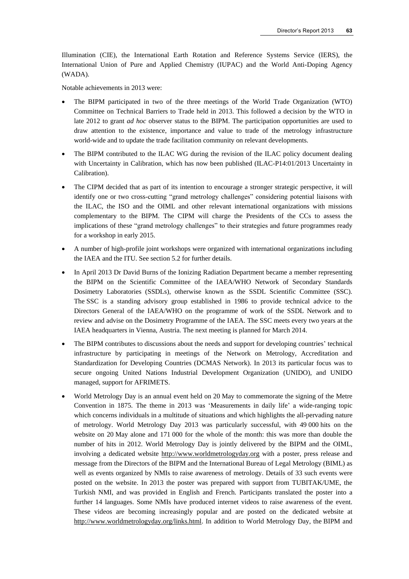Illumination (CIE), the International Earth Rotation and Reference Systems Service (IERS), the International Union of Pure and Applied Chemistry (IUPAC) and the World Anti-Doping Agency (WADA).

Notable achievements in 2013 were:

- The BIPM participated in two of the three meetings of the World Trade Organization (WTO) Committee on Technical Barriers to Trade held in 2013. This followed a decision by the WTO in late 2012 to grant *ad hoc* observer status to the BIPM. The participation opportunities are used to draw attention to the existence, importance and value to trade of the metrology infrastructure world-wide and to update the trade facilitation community on relevant developments.
- The BIPM contributed to the ILAC WG during the revision of the ILAC policy document dealing with Uncertainty in Calibration, which has now been published (ILAC-P14:01/2013 Uncertainty in Calibration).
- The CIPM decided that as part of its intention to encourage a stronger strategic perspective, it will identify one or two cross-cutting "grand metrology challenges" considering potential liaisons with the ILAC, the ISO and the OIML and other relevant international organizations with missions complementary to the BIPM. The CIPM will charge the Presidents of the CCs to assess the implications of these "grand metrology challenges" to their strategies and future programmes ready for a workshop in early 2015.
- A number of high-profile joint workshops were organized with international organizations including the IAEA and the ITU. See section 5.2 for further details.
- In April 2013 Dr David Burns of the Ionizing Radiation Department became a member representing the BIPM on the Scientific Committee of the IAEA/WHO Network of Secondary Standards Dosimetry Laboratories (SSDLs), otherwise known as the SSDL Scientific Committee (SSC). The SSC is a standing advisory group established in 1986 to provide technical advice to the Directors General of the IAEA/WHO on the programme of work of the SSDL Network and to review and advise on the Dosimetry Programme of the IAEA. The SSC meets every two years at the IAEA headquarters in Vienna, Austria. The next meeting is planned for March 2014.
- The BIPM contributes to discussions about the needs and support for developing countries' technical infrastructure by participating in meetings of the Network on Metrology, Accreditation and Standardization for Developing Countries (DCMAS Network). In 2013 its particular focus was to secure ongoing United Nations Industrial Development Organization (UNIDO), and UNIDO managed, support for AFRIMETS.
- World Metrology Day is an annual event held on 20 May to commemorate the signing of the Metre Convention in 1875. The theme in 2013 was 'Measurements in daily life' a wide-ranging topic which concerns individuals in a multitude of situations and which highlights the all-pervading nature of metrology. World Metrology Day 2013 was particularly successful, with 49 000 hits on the website on 20 May alone and 171 000 for the whole of the month: this was more than double the number of hits in 2012. World Metrology Day is jointly delivered by the BIPM and the OIML, involving a dedicated website [http://www.worldmetrologyday.org](http://www.worldmetrologyday.org/) with a poster, press release and message from the Directors of the BIPM and the International Bureau of Legal Metrology (BIML) as well as events organized by NMIs to raise awareness of metrology. Details of 33 such events were posted on the website. In 2013 the poster was prepared with support from TUBITAK/UME, the Turkish NMI, and was provided in English and French. Participants translated the poster into a further 14 languages. Some NMIs have produced internet videos to raise awareness of the event. These videos are becoming increasingly popular and are posted on the dedicated website at [http://www.worldmetrologyday.org/links.html.](http://www.worldmetrologyday.org/links.html) In addition to World Metrology Day, the BIPM and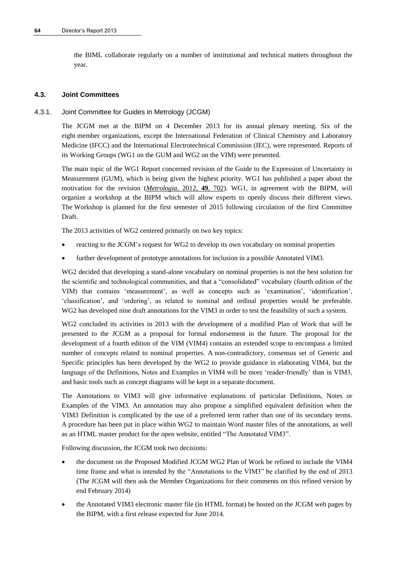the BIML collaborate regularly on a number of institutional and technical matters throughout the year.

## **4.3. Joint Committees**

## 4.3.1. Joint Committee for Guides in Metrology (JCGM)

The JCGM met at the BIPM on 4 December 2013 for its annual plenary meeting. Six of the eight member organizations, except the International Federation of Clinical Chemistry and Laboratory Medicine (IFCC) and the International Electrotechnical Commission (IEC), were represented. Reports of its Working Groups (WG1 on the GUM and WG2 on the VIM) were presented.

The main topic of the WG1 Report concerned revision of the Guide to the Expression of Uncertainty in Measurement (GUM), which is being given the highest priority. WG1 has published a paper about the motivation for the revision (*[Metrologia](http://stacks.iop.org/0026-1394/49/702)*, 2012, **49**, 702). WG1, in agreement with the BIPM, will organize a workshop at the BIPM which will allow experts to openly discuss their different views. The Workshop is planned for the first semester of 2015 following circulation of the first Committee Draft.

The 2013 activities of WG2 centered primarily on two key topics:

- reacting to the JCGM's request for WG2 to develop its own vocabulary on nominal properties
- further development of prototype annotations for inclusion in a possible Annotated VIM3.

WG2 decided that developing a stand-alone vocabulary on nominal properties is not the best solution for the scientific and technological communities, and that a "consolidated" vocabulary (fourth edition of the VIM) that contains 'measurement', as well as concepts such as 'examination', 'identification', 'classification', and 'ordering', as related to nominal and ordinal properties would be preferable. WG2 has developed nine draft annotations for the VIM3 in order to test the feasibility of such a system.

WG2 concluded its activities in 2013 with the development of a modified Plan of Work that will be presented to the JCGM as a proposal for formal endorsement in the future. The proposal for the development of a fourth edition of the VIM (VIM4) contains an extended scope to encompass a limited number of concepts related to nominal properties. A non-contradictory, consensus set of Generic and Specific principles has been developed by the WG2 to provide guidance in elaborating VIM4, but the language of the Definitions, Notes and Examples in VIM4 will be more 'reader-friendly' than in VIM3, and basic tools such as concept diagrams will be kept in a separate document.

The Annotations to VIM3 will give informative explanations of particular Definitions, Notes or Examples of the VIM3. An annotation may also propose a simplified equivalent definition when the VIM3 Definition is complicated by the use of a preferred term rather than one of its secondary terms. A procedure has been put in place within WG2 to maintain Word master files of the annotations, as well as an HTML master product for the open website, entitled "The Annotated VIM3".

Following discussion, the JCGM took two decisions:

- the document on the Proposed Modified JCGM WG2 Plan of Work be refined to include the VIM4 time frame and what is intended by the "Annotations to the VIM3" be clarified by the end of 2013 (The JCGM will then ask the Member Organizations for their comments on this refined version by end February 2014)
- the Annotated VIM3 electronic master file (in HTML format) be hosted on the JCGM web pages by the BIPM, with a first release expected for June 2014.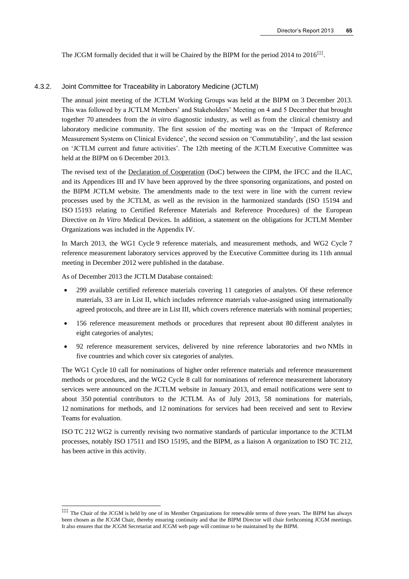The JCGM formally decided that it will be Chaired by the BIPM for the period 2014 to 2016<sup>‡‡‡</sup>.

#### 4.3.2. Joint Committee for Traceability in Laboratory Medicine (JCTLM)

The annual joint meeting of the JCTLM Working Groups was held at the BIPM on 3 December 2013. This was followed by a JCTLM Members' and Stakeholders' Meeting on 4 and 5 December that brought together 70 attendees from the *in vitro* diagnostic industry, as well as from the clinical chemistry and laboratory medicine community. The first session of the meeting was on the 'Impact of Reference Measurement Systems on Clinical Evidence', the second session on 'Commutability', and the last session on 'JCTLM current and future activities'. The 12th meeting of the JCTLM Executive Committee was held at the BIPM on 6 December 2013.

The revised text of the [Declaration of Cooperation](http://www.bipm.org/utils/en/pdf/establish_jctlm.pdf) (DoC) between the CIPM, the IFCC and the ILAC, and its Appendices III and IV have been approved by the three sponsoring organizations, and posted on the BIPM JCTLM website. The amendments made to the text were in line with the current review processes used by the JCTLM, as well as the revision in the harmonized standards (ISO 15194 and ISO 15193 relating to Certified Reference Materials and Reference Procedures) of the European Directive on *In Vitro* Medical Devices. In addition, a statement on the obligations for JCTLM Member Organizations was included in the Appendix IV.

In March 2013, the WG1 Cycle 9 reference materials, and measurement methods, and WG2 Cycle 7 reference measurement laboratory services approved by the Executive Committee during its 11th annual meeting in December 2012 were published in the database.

As of December 2013 the [JCTLM Database](http://www.bipm.org/jctlm/) contained:

l

- 299 available certified reference materials covering 11 categories of analytes. Of these reference materials, 33 are in List II, which includes reference materials value-assigned using internationally agreed protocols, and three are in List III, which covers reference materials with nominal properties;
- 156 reference measurement methods or procedures that represent about 80 different analytes in eight categories of analytes;
- 92 reference measurement services, delivered by nine reference laboratories and two NMIs in five countries and which cover six categories of analytes.

The WG1 Cycle 10 call for nominations of higher order reference materials and reference measurement methods or procedures, and the WG2 Cycle 8 call for nominations of reference measurement laboratory services were announced on the JCTLM website in January 2013, and email notifications were sent to about 350 potential contributors to the JCTLM. As of July 2013, 58 nominations for materials, 12 nominations for methods, and 12 nominations for services had been received and sent to Review Teams for evaluation.

ISO TC 212 WG2 is currently revising two normative standards of particular importance to the JCTLM processes, notably ISO 17511 and ISO 15195, and the BIPM, as a liaison A organization to ISO TC 212, has been active in this activity.

<sup>‡‡‡</sup> The Chair of the JCGM is held by one of its Member Organizations for renewable terms of three years. The BIPM has always been chosen as the JCGM Chair, thereby ensuring continuity and that the BIPM Director will chair forthcoming JCGM meetings. It also ensures that the JCGM Secretariat and JCGM web page will continue to be maintained by the BIPM.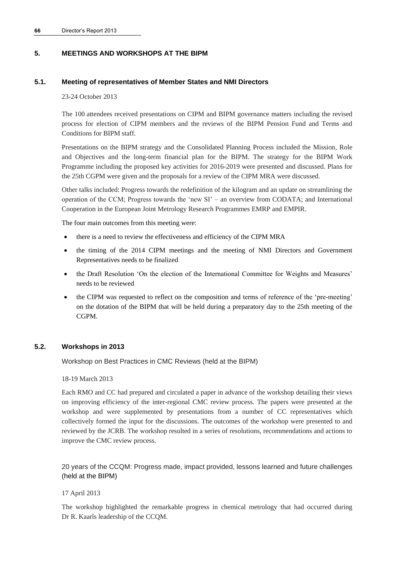## **5. MEETINGS AND WORKSHOPS AT THE BIPM**

## **5.1. Meeting of representatives of Member States and NMI Directors**

#### 23-24 October 2013

The 100 attendees received presentations on CIPM and BIPM governance matters including the revised process for election of CIPM members and the reviews of the BIPM Pension Fund and Terms and Conditions for BIPM staff.

Presentations on the BIPM strategy and the Consolidated Planning Process included the Mission, Role and Objectives and the long-term financial plan for the BIPM. The strategy for the BIPM Work Programme including the proposed key activities for 2016-2019 were presented and discussed. Plans for the 25th CGPM were given and the proposals for a review of the CIPM MRA were discussed.

Other talks included: Progress towards the redefinition of the kilogram and an update on streamlining the operation of the CCM; Progress towards the 'new SI' – an overview from CODATA; and International Cooperation in the European Joint Metrology Research Programmes EMRP and EMPIR.

The four main outcomes from this meeting were:

- there is a need to review the effectiveness and efficiency of the CIPM MRA
- the timing of the 2014 CIPM meetings and the meeting of NMI Directors and Government Representatives needs to be finalized
- the Draft Resolution 'On the election of the International Committee for Weights and Measures' needs to be reviewed
- the CIPM was requested to reflect on the composition and terms of reference of the 'pre-meeting' on the dotation of the BIPM that will be held during a preparatory day to the 25th meeting of the CGPM.

## **5.2. Workshops in 2013**

Workshop on Best Practices in CMC Reviews (held at the BIPM)

18-19 March 2013

Each RMO and CC had prepared and circulated a paper in advance of the workshop detailing their views on improving efficiency of the inter-regional CMC review process. The papers were presented at the workshop and were supplemented by presentations from a number of CC representatives which collectively formed the input for the discussions. The outcomes of the workshop were presented to and reviewed by the JCRB. The workshop resulted in a series of resolutions, recommendations and actions to improve the CMC review process.

20 years of the CCQM: Progress made, impact provided, lessons learned and future challenges (held at the BIPM)

#### 17 April 2013

The workshop highlighted the remarkable progress in chemical metrology that had occurred during Dr R. Kaarls leadership of the CCQM.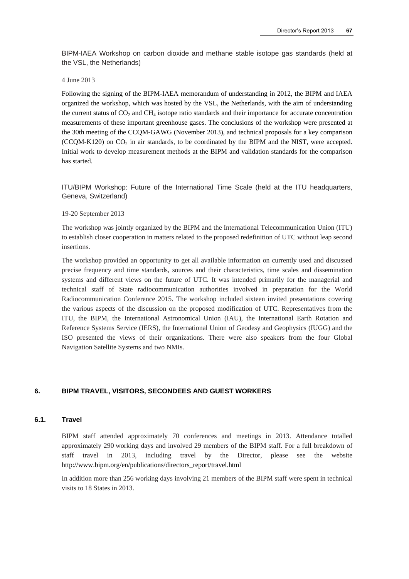BIPM-IAEA Workshop on carbon dioxide and methane stable isotope gas standards (held at the VSL, the Netherlands)

4 June 2013

Following the signing of the BIPM-IAEA memorandum of understanding in 2012, the BIPM and IAEA organized the workshop, which was hosted by the VSL, the Netherlands, with the aim of understanding the current status of  $CO<sub>2</sub>$  and  $CH<sub>4</sub>$  isotope ratio standards and their importance for accurate concentration measurements of these important greenhouse gases. The conclusions of the workshop were presented at the 30th meeting of the CCQM-GAWG (November 2013), and technical proposals for a key comparison  $(CCQM-K120)$  on  $CO<sub>2</sub>$  in air standards, to be coordinated by the BIPM and the NIST, were accepted. Initial work to develop measurement methods at the BIPM and validation standards for the comparison has started.

ITU/BIPM Workshop: Future of the International Time Scale (held at the ITU headquarters, Geneva, Switzerland)

#### 19-20 September 2013

The workshop was jointly organized by the BIPM and the International Telecommunication Union (ITU) to establish closer cooperation in matters related to the proposed redefinition of UTC without leap second insertions.

The workshop provided an opportunity to get all available information on currently used and discussed precise frequency and time standards, sources and their characteristics, time scales and dissemination systems and different views on the future of UTC. It was intended primarily for the managerial and technical staff of State radiocommunication authorities involved in preparation for the World Radiocommunication Conference 2015. The workshop included sixteen invited presentations covering the various aspects of the discussion on the proposed modification of UTC. Representatives from the ITU, the BIPM, the International Astronomical Union (IAU), the International Earth Rotation and Reference Systems Service (IERS), the International Union of Geodesy and Geophysics (IUGG) and the ISO presented the views of their organizations. There were also speakers from the four Global Navigation Satellite Systems and two NMIs.

#### **6. BIPM TRAVEL, VISITORS, SECONDEES AND GUEST WORKERS**

## **6.1. Travel**

BIPM staff attended approximately 70 conferences and meetings in 2013. Attendance totalled approximately 290 working days and involved 29 members of the BIPM staff. For a full breakdown of staff travel in 2013, including travel by the Director, please see the website [http://www.bipm.org/en/publications/directors\\_report/travel.html](http://www.bipm.org/en/publications/directors_report/travel.html)

In addition more than 256 working days involving 21 members of the BIPM staff were spent in technical visits to 18 States in 2013.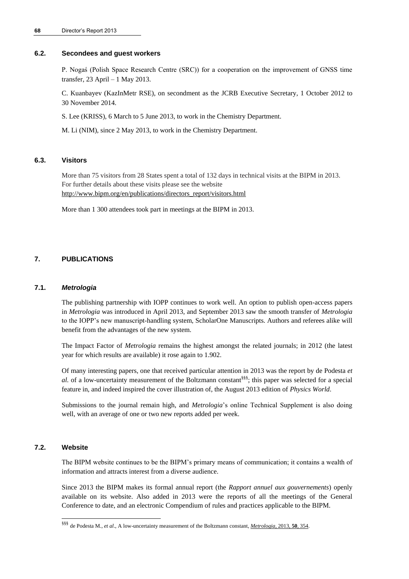#### **6.2. Secondees and guest workers**

P. Nogaś (Polish Space Research Centre (SRC)) for a cooperation on the improvement of GNSS time transfer, 23 April – 1 May 2013.

C. Kuanbayev (KazInMetr RSE), on secondment as the JCRB Executive Secretary, 1 October 2012 to 30 November 2014.

S. Lee (KRISS), 6 March to 5 June 2013, to work in the Chemistry Department.

M. Li (NIM), since 2 May 2013, to work in the Chemistry Department.

#### **6.3. Visitors**

More than 75 visitors from 28 States spent a total of 132 days in technical visits at the BIPM in 2013. For further details about these visits please see the website [http://www.bipm.org/en/publications/directors\\_report/visitors.html](http://www.bipm.org/en/publications/directors_report/visitors.html)

More than 1 300 attendees took part in meetings at the BIPM in 2013.

## **7. PUBLICATIONS**

#### **7.1.** *Metrologia*

The publishing partnership with IOPP continues to work well. An option to publish open-access papers in *Metrologia* was introduced in April 2013, and September 2013 saw the smooth transfer of *Metrologia* to the IOPP's new manuscript-handling system, ScholarOne Manuscripts. Authors and referees alike will benefit from the advantages of the new system.

The Impact Factor of *Metrologia* remains the highest amongst the related journals; in 2012 (the latest year for which results are available) it rose again to 1.902.

Of many interesting papers, one that received particular attention in 2013 was the report by de Podesta *et al.* of a low-uncertainty measurement of the Boltzmann constant§§§; this paper was selected for a special feature in, and indeed inspired the cover illustration of, the August 2013 edition of *Physics World*.

Submissions to the journal remain high, and *Metrologia*'s online Technical Supplement is also doing well, with an average of one or two new reports added per week.

### **7.2. Website**

l

The BIPM website continues to be the BIPM's primary means of communication; it contains a wealth of information and attracts interest from a diverse audience.

Since 2013 the BIPM makes its formal annual report (the *Rapport annuel aux gouvernements*) openly available on its website. Also added in 2013 were the reports of all the meetings of the General Conference to date, and an electronic Compendium of rules and practices applicable to the BIPM.

<sup>§§§</sup> de Podesta M., *et al*., A low-uncertainty measurement of the Boltzmann constant, *[Metrologia](http://stacks.iop.org/0026-1394/50/354)*, 2013, **50**, 354.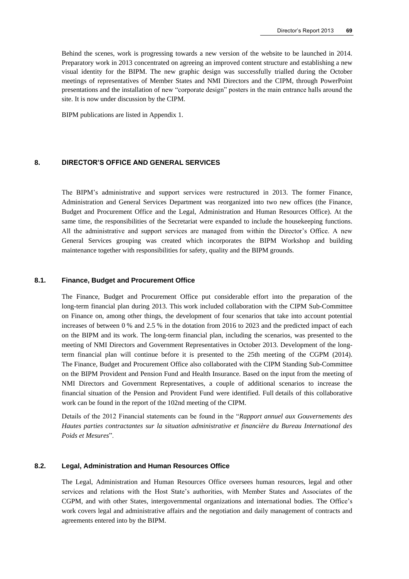Behind the scenes, work is progressing towards a new version of the website to be launched in 2014. Preparatory work in 2013 concentrated on agreeing an improved content structure and establishing a new visual identity for the BIPM. The new graphic design was successfully trialled during the October meetings of representatives of Member States and NMI Directors and the CIPM, through PowerPoint presentations and the installation of new "corporate design" posters in the main entrance halls around the site. It is now under discussion by the CIPM.

BIPM publications are listed in Appendix 1.

## **8. DIRECTOR'S OFFICE AND GENERAL SERVICES**

The BIPM's administrative and support services were restructured in 2013. The former Finance, Administration and General Services Department was reorganized into two new offices (the Finance, Budget and Procurement Office and the Legal, Administration and Human Resources Office). At the same time, the responsibilities of the Secretariat were expanded to include the housekeeping functions. All the administrative and support services are managed from within the Director's Office. A new General Services grouping was created which incorporates the BIPM Workshop and building maintenance together with responsibilities for safety, quality and the BIPM grounds.

#### **8.1. Finance, Budget and Procurement Office**

The Finance, Budget and Procurement Office put considerable effort into the preparation of the long-term financial plan during 2013. This work included collaboration with the CIPM Sub-Committee on Finance on, among other things, the development of four scenarios that take into account potential increases of between 0 % and 2.5 % in the dotation from 2016 to 2023 and the predicted impact of each on the BIPM and its work. The long-term financial plan, including the scenarios, was presented to the meeting of NMI Directors and Government Representatives in October 2013. Development of the longterm financial plan will continue before it is presented to the 25th meeting of the CGPM (2014). The Finance, Budget and Procurement Office also collaborated with the CIPM Standing Sub-Committee on the BIPM Provident and Pension Fund and Health Insurance. Based on the input from the meeting of NMI Directors and Government Representatives, a couple of additional scenarios to increase the financial situation of the Pension and Provident Fund were identified. Full details of this collaborative work can be found in the report of the 102nd meeting of the CIPM.

Details of the 2012 Financial statements can be found in the "*Rapport annuel aux Gouvernements des Hautes parties contractantes sur la situation administrative et financière du Bureau International des Poids et Mesures*".

#### **8.2. Legal, Administration and Human Resources Office**

The Legal, Administration and Human Resources Office oversees human resources, legal and other services and relations with the Host State's authorities, with Member States and Associates of the CGPM, and with other States, intergovernmental organizations and international bodies. The Office's work covers legal and administrative affairs and the negotiation and daily management of contracts and agreements entered into by the BIPM.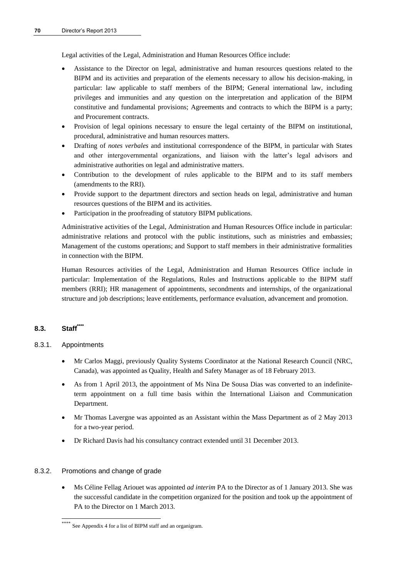Legal activities of the Legal, Administration and Human Resources Office include:

- Assistance to the Director on legal, administrative and human resources questions related to the BIPM and its activities and preparation of the elements necessary to allow his decision-making, in particular: law applicable to staff members of the BIPM; General international law, including privileges and immunities and any question on the interpretation and application of the BIPM constitutive and fundamental provisions; Agreements and contracts to which the BIPM is a party; and Procurement contracts.
- Provision of legal opinions necessary to ensure the legal certainty of the BIPM on institutional, procedural, administrative and human resources matters.
- Drafting of *notes verbales* and institutional correspondence of the BIPM, in particular with States and other intergovernmental organizations, and liaison with the latter's legal advisors and administrative authorities on legal and administrative matters.
- Contribution to the development of rules applicable to the BIPM and to its staff members (amendments to the RRI).
- Provide support to the department directors and section heads on legal, administrative and human resources questions of the BIPM and its activities.
- Participation in the proofreading of statutory BIPM publications.

Administrative activities of the Legal, Administration and Human Resources Office include in particular: administrative relations and protocol with the public institutions, such as ministries and embassies; Management of the customs operations; and Support to staff members in their administrative formalities in connection with the BIPM.

Human Resources activities of the Legal, Administration and Human Resources Office include in particular: Implementation of the Regulations, Rules and Instructions applicable to the BIPM staff members (RRI); HR management of appointments, secondments and internships, of the organizational structure and job descriptions; leave entitlements, performance evaluation, advancement and promotion.

## **8.3. Staff\*\*\*\***

## 8.3.1. Appointments

l

- Mr Carlos Maggi, previously Quality Systems Coordinator at the National Research Council (NRC, Canada), was appointed as Quality, Health and Safety Manager as of 18 February 2013.
- As from 1 April 2013, the appointment of Ms Nina De Sousa Dias was converted to an indefiniteterm appointment on a full time basis within the International Liaison and Communication Department.
- Mr Thomas Lavergne was appointed as an Assistant within the Mass Department as of 2 May 2013 for a two-year period.
- Dr Richard Davis had his consultancy contract extended until 31 December 2013.

## 8.3.2. Promotions and change of grade

 Ms Céline Fellag Ariouet was appointed *ad interim* PA to the Director as of 1 January 2013. She was the successful candidate in the competition organized for the position and took up the appointment of PA to the Director on 1 March 2013.

See Appendix 4 for a list of BIPM staff and an organigram.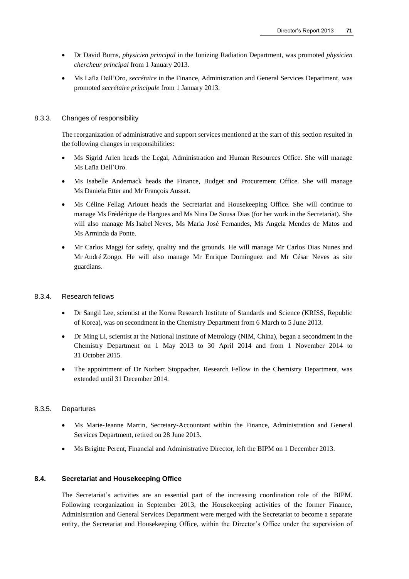- Dr David Burns, *physicien principal* in the Ionizing Radiation Department, was promoted *physicien chercheur principal* from 1 January 2013.
- Ms Laïla Dell'Oro, *secrétaire* in the Finance, Administration and General Services Department, was promoted *secrétaire principale* from 1 January 2013.

#### 8.3.3. Changes of responsibility

The reorganization of administrative and support services mentioned at the start of this section resulted in the following changes in responsibilities:

- Ms Sigrid Arlen heads the Legal, Administration and Human Resources Office. She will manage Ms Laïla Dell'Oro.
- Ms Isabelle Andernack heads the Finance, Budget and Procurement Office. She will manage Ms Daniela Etter and Mr François Ausset.
- Ms Céline Fellag Ariouet heads the Secretariat and Housekeeping Office. She will continue to manage Ms Frédérique de Hargues and Ms Nina De Sousa Dias (for her work in the Secretariat). She will also manage Ms Isabel Neves, Ms Maria José Fernandes, Ms Angela Mendes de Matos and Ms Arminda da Ponte.
- Mr Carlos Maggi for safety, quality and the grounds. He will manage Mr Carlos Dias Nunes and Mr André Zongo. He will also manage Mr Enrique Dominguez and Mr César Neves as site guardians.

#### 8.3.4. Research fellows

- Dr Sangil Lee, scientist at the Korea Research Institute of Standards and Science (KRISS, Republic of Korea), was on secondment in the Chemistry Department from 6 March to 5 June 2013.
- Dr Ming Li, scientist at the National Institute of Metrology (NIM, China), began a secondment in the Chemistry Department on 1 May 2013 to 30 April 2014 and from 1 November 2014 to 31 October 2015.
- The appointment of Dr Norbert Stoppacher, Research Fellow in the Chemistry Department, was extended until 31 December 2014.

#### 8.3.5. Departures

- Ms Marie-Jeanne Martin, Secretary-Accountant within the Finance, Administration and General Services Department, retired on 28 June 2013.
- Ms Brigitte Perent, Financial and Administrative Director, left the BIPM on 1 December 2013.

#### **8.4. Secretariat and Housekeeping Office**

The Secretariat's activities are an essential part of the increasing coordination role of the BIPM. Following reorganization in September 2013, the Housekeeping activities of the former Finance, Administration and General Services Department were merged with the Secretariat to become a separate entity, the Secretariat and Housekeeping Office, within the Director's Office under the supervision of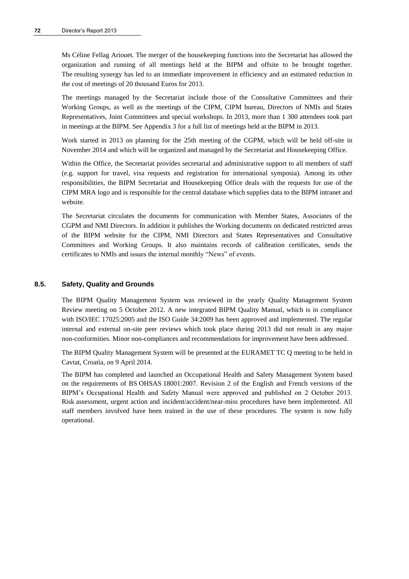Ms Céline Fellag Ariouet. The merger of the housekeeping functions into the Secretariat has allowed the organization and running of all meetings held at the BIPM and offsite to be brought together. The resulting synergy has led to an immediate improvement in efficiency and an estimated reduction in the cost of meetings of 20 thousand Euros for 2013.

The meetings managed by the Secretariat include those of the Consultative Committees and their Working Groups, as well as the meetings of the CIPM, CIPM bureau, Directors of NMIs and States Representatives, Joint Committees and special workshops. In 2013, more than 1 300 attendees took part in meetings at the BIPM. See Appendix 3 for a full list of meetings held at the BIPM in 2013.

Work started in 2013 on planning for the 25th meeting of the CGPM, which will be held off-site in November 2014 and which will be organized and managed by the Secretariat and Housekeeping Office.

Within the Office, the Secretariat provides secretarial and administrative support to all members of staff (e.g. support for travel, visa requests and registration for international symposia). Among its other responsibilities, the BIPM Secretariat and Housekeeping Office deals with the requests for use of the CIPM MRA logo and is responsible for the central database which supplies data to the BIPM intranet and website.

The Secretariat circulates the documents for communication with Member States, Associates of the CGPM and NMI Directors. In addition it publishes the Working documents on dedicated restricted areas of the BIPM website for the CIPM, NMI Directors and States Representatives and Consultative Committees and Working Groups. It also maintains records of calibration certificates, sends the certificates to NMIs and issues the internal monthly "News" of events.

#### **8.5. Safety, Quality and Grounds**

The BIPM Quality Management System was reviewed in the yearly Quality Management System Review meeting on 5 October 2012. A new integrated BIPM Quality Manual, which is in compliance with ISO/IEC 17025:2005 and the ISO Guide 34:2009 has been approved and implemented. The regular internal and external on-site peer reviews which took place during 2013 did not result in any major non-conformities. Minor non-compliances and recommendations for improvement have been addressed.

The BIPM Quality Management System will be presented at the EURAMET TC Q meeting to be held in Cavtat, Croatia, on 9 April 2014.

The BIPM has completed and launched an Occupational Health and Safety Management System based on the requirements of BS OHSAS 18001:2007. Revision 2 of the English and French versions of the BIPM's Occupational Health and Safety Manual were approved and published on 2 October 2013. Risk assessment, urgent action and incident/accident/near-miss procedures have been implemented. All staff members involved have been trained in the use of these procedures. The system is now fully operational.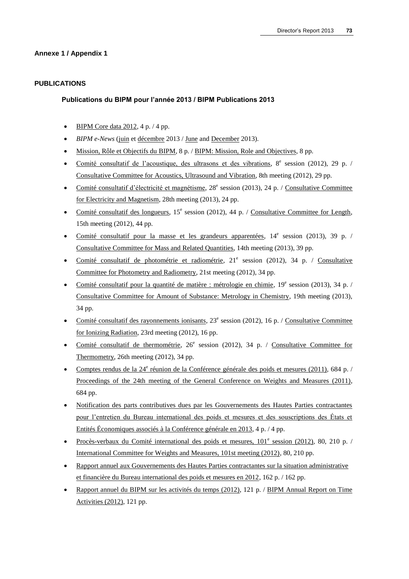## **Annexe 1 / Appendix 1**

## **PUBLICATIONS**

### **Publications du BIPM pour l'année 2013 / BIPM Publications 2013**

- [BIPM Core data 2012,](http://www.bipm.org/utils/common/pdf/enews/BIPM_Core_Data-2012.pdf) 4 p. / 4 pp.
- *BIPM e-News* [\(juin e](http://www.bipm.org/utils/common/pdf/enews/BIPM_News-2013_07.pdf)t [décembre 2](http://www.bipm.org/utils/common/pdf/enews/BIPM_News-2013_12.pdf)013 [/ June](http://www.bipm.org/utils/common/pdf/enews/BIPM_News-2013_07.pdf) and [December](http://www.bipm.org/utils/common/pdf/enews/BIPM_News-2013_12.pdf) 2013).
- [Mission, Rôle et Objectifs du BIPM,](http://www.bipm.org/utils/fr/pdf/BIPM_MRO.pdf) 8 p. / [BIPM: Mission, Role and Objectives,](http://www.bipm.org/utils/en/pdf/BIPM_MRO.pdf) 8 pp.
- · [Comité consultatif de l'acoustique, des ultrasons et des vibrations,](http://www.bipm.org/utils/common/pdf/CCAUV8.pdf) 8<sup>e</sup> session (2012), 29 p. / [Consultative Committee for Acoustics, Ultrasound and Vibration,](http://www.bipm.org/utils/common/pdf/CCAUV8.pdf) 8th meeting (2012), 29 pp.
- · [Comité consultatif d'électricité et magnétisme,](http://www.bipm.org/utils/common/pdf/CCEM28.pdf) 28<sup>e</sup> session (2013), 24 p. / Consultative Committee [for Electricity and Magnetism,](http://www.bipm.org/utils/common/pdf/CCEM28.pdf) 28th meeting (2013), 24 pp.
- [Comité consultatif des longueurs,](http://www.bipm.org/utils/common/pdf/CCL15.pdf) 15<sup>e</sup> session (2012), 44 p. / [Consultative Committee for Length,](http://www.bipm.org/utils/common/pdf/CCL15.pdf) 15th meeting (2012), 44 pp.
- [Comité consultatif pour la masse et les grandeurs apparentées,](http://www.bipm.org/utils/common/pdf/CCM14.pdf) 14<sup>e</sup> session (2013), 39 p. / [Consultative Committee for Mass and Related Quantities,](http://www.bipm.org/utils/common/pdf/CCM14.pdf) 14th meeting (2013), 39 pp.
- · [Comité consultatif de photométrie et radiométrie,](http://www.bipm.org/utils/common/pdf/CCPR21.pdf) 21<sup>e</sup> session (2012), 34 p. / Consultative [Committee for Photometry and Radiometry,](http://www.bipm.org/utils/common/pdf/CCPR21.pdf) 21st meeting (2012), 34 pp.
- [Comité consultatif pour la quantité de matière : métrologie en chimie,](http://www.bipm.org/utils/common/pdf/CCQM19.pdf) 19<sup>e</sup> session (2013), 34 p. / [Consultative Committee for Amount of Substance: Metrology in Chemistry,](http://www.bipm.org/utils/common/pdf/CCQM19.pdf) 19th meeting (2013), 34 pp.
- [Comité consultatif des rayonnements ionisants,](http://www.bipm.org/utils/common/pdf/CCRI23.pdf) 23<sup>e</sup> session (2012), 16 p. / Consultative Committee [for Ionizing Radiation,](http://www.bipm.org/utils/common/pdf/CCRI23.pdf) 23rd meeting (2012), 16 pp.
- [Comité consultatif de thermométrie,](http://www.bipm.org/utils/common/pdf/CCT26.pdf) 26<sup>e</sup> session (2012), 34 p. / Consultative Committee for [Thermometry,](http://www.bipm.org/utils/common/pdf/CCT26.pdf) 26th meeting (2012), 34 pp.
- Comptes rendus de la 24<sup>e</sup> [réunion de la Conférence générale des poids et mesures \(2011\),](http://www.bipm.org/utils/common/pdf/CGPM24.pdf) 684 p. / [Proceedings of the 24th meeting of the General Conference on Weights and Measures \(2011\),](http://www.bipm.org/utils/common/pdf/CGPM24.pdf) 684 pp.
- [Notification des parts contributives dues par les Gouvernements des Hautes Parties contractantes](http://www.bipm.org/utils/common/pdf/rapport_annuel/notif2013.pdf)  [pour l'entretien du Bureau international des poids et mesures et des souscriptions des États et](http://www.bipm.org/utils/common/pdf/rapport_annuel/notif2013.pdf)  [Entités Économiques associés à la Conférence générale en 2013,](http://www.bipm.org/utils/common/pdf/rapport_annuel/notif2013.pdf) 4 p. / 4 pp.
- · Procès-verbaux du Comité international des poids et mesures,  $101^e$  session (2012), 80, 210 p. / [International Committee for Weights and Measures, 101st meeting \(2012\),](http://www.bipm.org/utils/en/pdf/CIPM2012-EN.pdf) 80, 210 pp.
- [Rapport annuel aux Gouvernements des Hautes Parties contractantes sur la situation administrative](http://www.bipm.org/utils/common/pdf/rapport_annuel/Rapport_annuel_BIPM-2012.pdf)  [et financière du Bureau international des poids et mesures en 2012,](http://www.bipm.org/utils/common/pdf/rapport_annuel/Rapport_annuel_BIPM-2012.pdf) 162 p. / 162 pp.
- [Rapport annuel du BIPM sur les activités du temps \(2012\),](http://www.bipm.org/utils/en/pdf/time_ann_rep/Time_annual_report_2012.pdf) 121 p. / [BIPM Annual Report on Time](http://www.bipm.org/utils/en/pdf/time_ann_rep/Time_annual_report_2012.pdf)  [Activities \(2012\),](http://www.bipm.org/utils/en/pdf/time_ann_rep/Time_annual_report_2012.pdf) 121 pp.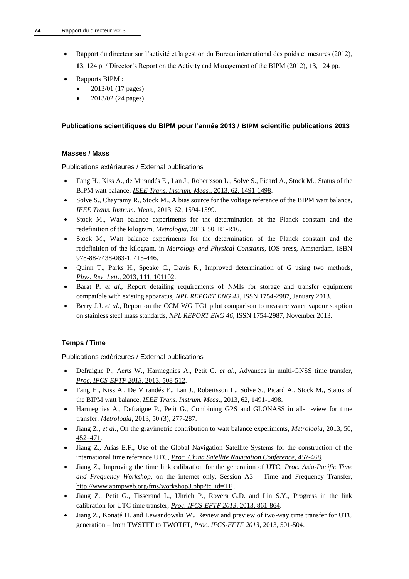- [Rapport du directeur sur l'activité et la gestion du Bureau international des poids et mesures \(2012\),](http://www.bipm.org/utils/fr/pdf/DIR2012-FR.pdf) **13**, 124 p. / [Director's Report on the Activity and Management of the BIPM \(2012\),](http://www.bipm.org/utils/en/pdf/DIR2012-EN.pdf) **13**, 124 pp.
- Rapports BIPM :
	- [2013/01](http://www.bipm.org/utils/common/pdf/rapportBIPM/2013/01.pdf) (17 pages)
	- [2013/02](http://www.bipm.org/utils/common/pdf/rapportBIPM/2013/02.pdf) (24 pages)

## **Publications scientifiques du BIPM pour l'année 2013 / BIPM scientific publications 2013**

## **Masses / Mass**

Publications extérieures / External publications

- Fang H., Kiss A., de Mirandés E., Lan J., Robertsson L., Solve S., Picard A., Stock M., Status of the BIPM watt balance, *[IEEE Trans. Instrum. Meas.](http://dx.doi.org/10.1109/TIM.2012.2225930)*, 2013, 62, 1491-1498.
- Solve S., Chayramy R., Stock M.*,* A bias source for the voltage reference of the BIPM watt balance, *[IEEE Trans. Instrum. Meas.](http://dx.doi.org/10.1109/TIM.2013.2242641)*, 2013, 62, 1594-1599.
- Stock M., Watt balance experiments for the determination of the Planck constant and the redefinition of the kilogram, *Metrologia*[, 2013, 50, R1-R16.](http://stacks.iop.org/0026-1394/50/R1)
- Stock M., Watt balance experiments for the determination of the Planck constant and the redefinition of the kilogram, in *Metrology and Physical Constants*, IOS press, Amsterdam, ISBN 978-88-7438-083-1, 415-446.
- Quinn T., Parks H., Speake C., Davis R., Improved determination of *G* using two methods, *[Phys. Rev. Lett](http://www.bipm.org/utils/en/pdf/PhysRevLett.111.101102.pdf)*., 2013, **111**, 101102.
- Barat P. *et al*., Report detailing requirements of NMIs for storage and transfer equipment compatible with existing apparatus, *NPL REPORT ENG 43*, ISSN 1754-2987, January 2013.
- Berry J.J. *et al*., Report on the CCM WG TG1 pilot comparison to measure water vapour sorption on stainless steel mass standards, *NPL REPORT ENG 46*, ISSN 1754-2987, November 2013.

## **Temps / Time**

- Defraigne P., Aerts W., Harmegnies A., Petit G. *et al*., Advances in multi-GNSS time transfer, *[Proc. IFCS-EFTF 2013,](http://dx.doi.org/10.1109/EFTF-IFC.2013.6702126)* 2013, 508-512.
- Fang H., Kiss A., De Mirandés E., Lan J., Robertsson L., Solve S., Picard A., Stock M., Status of the BIPM watt balance, *IEEE Trans. Instrum. Meas*[., 2013, 62, 1491-1498.](http://dx.doi.org/10.1109/TIM.2012.2225930)
- Harmegnies A., Defraigne P., Petit G., Combining GPS and GLONASS in all-in-view for time transfer, *Metrologia*[, 2013, 50 \(3\), 277-287.](http://stacks.iop.org/0026-1394/50/277)
- Jiang Z., *et al*., On the gravimetric contribution to watt balance experiments, *Metrologia*[, 2013, 50,](http://stacks.iop.org/0026-1394/50/452)  [452–471.](http://stacks.iop.org/0026-1394/50/452)
- Jiang Z., Arias E.F., Use of the Global Navigation Satellite Systems for the construction of the international time reference UTC, *[Proc. China Satellite Navigation Conference](http://dx.doi.org/10.1007/978-3-642-37407-4_43)*, 457-468.
- Jiang Z., Improving the time link calibration for the generation of UTC, *Proc. Asia-Pacific Time and Frequency Workshop*, on the internet only, Session A3 – Time and Frequency Transfer, [http://www.apmpweb.org/fms/workshop3.php?tc\\_id=TF](http://www.apmpweb.org/fms/workshop3.php?tc_id=TF) .
- Jiang Z., Petit G., Tisserand L., Uhrich P., Rovera G.D. and Lin S.Y., Progress in the link calibration for UTC time transfer, *[Proc. IFCS-EFTF 2013](http://dx.doi.org/10.1109/EFTF-IFC.2013.6702102)*, 2013, 861-864.
- Jiang Z., Konaté H. and Lewandowski W., Review and preview of two-way time transfer for UTC generation – from TWSTFT to TWOTFT, *[Proc. IFCS-EFTF 2013](http://dx.doi.org/10.1109/EFTF-IFC.2013.6702103)*, 2013, 501-504.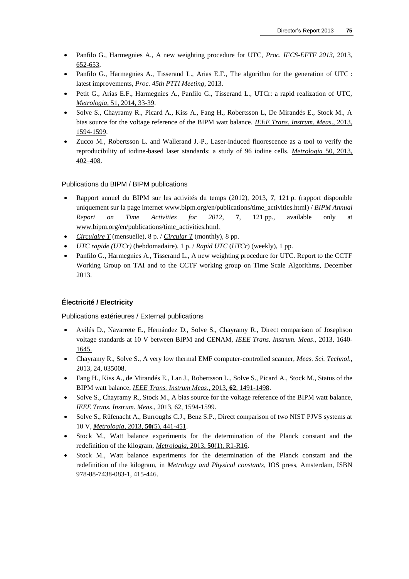- Panfilo G., Harmegnies A., A new weighting procedure for UTC, *[Proc. IFCS-EFTF 2013,](http://dx.doi.org/10.1109/EFTF-IFC.2013.6702122)* 2013, [652-653.](http://dx.doi.org/10.1109/EFTF-IFC.2013.6702122)
- Panfilo G., Harmegnies A., Tisserand L., Arias E.F., The algorithm for the generation of UTC : latest improvements, *Proc. 45th PTTI Meeting*, 2013.
- Petit G., Arias E.F., Harmegnies A., Panfilo G., Tisserand L., UTCr: a rapid realization of UTC, *Metrologia*[, 51, 2014, 33-39.](http://stacks.iop.org/0026-1394/51/33)
- Solve S., Chayramy R., Picard A., Kiss A., Fang H., Robertsson L, De Mirandés E., Stock M., A bias source for the voltage reference of the BIPM watt balance. *IEEE Trans*. *[Instrum. Meas](http://dx.doi.org/10.1109/TIM.2013.2242641)*., 2013, [1594-1599.](http://dx.doi.org/10.1109/TIM.2013.2242641)
- Zucco M., Robertsson L. and Wallerand J.-P., Laser-induced fluorescence as a tool to verify the reproducibility of iodine-based laser standards: a study of 96 iodine cells. *Metrologia* [50, 2013,](http://stacks.iop.org/0026-1394/50/402)  [402–408.](http://stacks.iop.org/0026-1394/50/402)

- Rapport annuel du BIPM sur les activités du temps (2012), 2013, **7**, 121 p. (rapport disponible uniquement sur la page internet www.bipm.org/en/publications/time\_activities.html) / *BIPM Annual Report on Time Activities for 2012*, **7**, 121 pp., available only at www.bipm.org/en/publications/time\_activities.html.
- *[Circulaire T](http://www.bipm.org/jsp/en/TimeFtp.jsp?TypePub=publication)* (mensuelle), 8 p. / *[Circular T](http://www.bipm.org/jsp/en/TimeFtp.jsp?TypePub=publication)* (monthly), 8 pp.
- *UTC rapide (UTCr)* (hebdomadaire), 1 p. / *Rapid UTC* (*UTCr*) (weekly), 1 pp.
- Panfilo G., Harmegnies A., Tisserand L., A new weighting procedure for UTC. Report to the CCTF Working Group on TAI and to the CCTF working group on Time Scale Algorithms, December 2013.

#### **Électricité / Electricity**

- Avilés D., Navarrete E., Hernández D., Solve S., Chayramy R., Direct comparison of Josephson voltage standards at 10 V between BIPM and CENAM, *[IEEE Trans. Instrum. Meas](http://dx.doi.org/10.1109/CPEM.2012.6250664)*., 2013, 1640- [1645.](http://dx.doi.org/10.1109/CPEM.2012.6250664)
- Chayramy R., Solve S., A very low thermal EMF computer-controlled scanner, *[Meas. Sci. Technol.,](http://dx.doi.org/10.1088/0957-0233/24/2/025008)* [2013, 24, 035008.](http://dx.doi.org/10.1088/0957-0233/24/2/025008)
- Fang H., Kiss A., de Mirandés E., Lan J., Robertsson L., Solve S., Picard A., Stock M., Status of the BIPM watt balance, *[IEEE Trans. Instrum Meas](http://dx.doi.org/10.1109/TIM.2012.2225930)*., 2013, **62**, 1491-1498.
- Solve S., Chayramy R., Stock M., A bias source for the voltage reference of the BIPM watt balance, *[IEEE Trans. Instrum. Meas](http://dx.doi.org/10.1109/TIM.2013.2242641)*., 2013, 62, 1594-1599.
- Solve S., Rüfenacht A., Burroughs C.J., Benz S.P., Direct comparison of two NIST PJVS systems at 10 V, *Metrologia*, 2013, **50**[\(5\), 441-451.](http://stacks.iop.org/0026-1394/50/441)
- Stock M., Watt balance experiments for the determination of the Planck constant and the redefinition of the kilogram, *Metrologia*, 2013, **50**[\(1\), R1-R16.](http://stacks.iop.org/0026-1394/50/R1)
- Stock M., Watt balance experiments for the determination of the Planck constant and the redefinition of the kilogram, in *Metrology and Physical constants*, IOS press, Amsterdam, ISBN 978-88-7438-083-1, 415-446.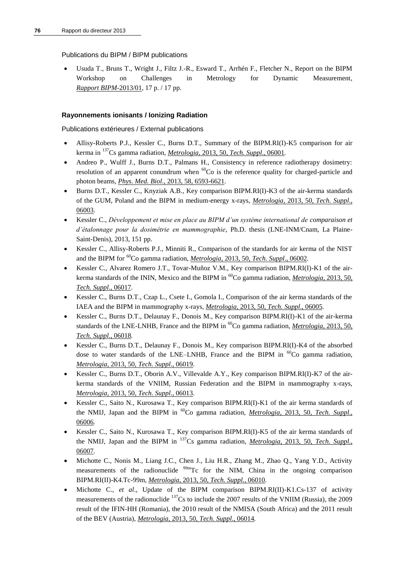Usuda T., Bruns T., Wright J., Filtz J.-R., Esward T., Arrhén F., Fletcher N., Report on the BIPM Workshop on Challenges in Metrology for Dynamic Measurement, *[Rapport BIPM](http://www.bipm.org/utils/common/pdf/rapportBIPM/2013/01.pdf)*-2013/01, 17 p. / 17 pp.

## **Rayonnements ionisants / Ionizing Radiation**

- Allisy-Roberts P.J., Kessler C., Burns D.T., Summary of the BIPM.RI(I)-K5 comparison for air kerma in <sup>137</sup>Cs gamma radiation, *Metrologia*, 2013, 50, *[Tech. Suppl](http://stacks.iop.org/0026-1394/50/06001)*., 06001*.*
- Andreo P., Wulff J., Burns D.T., Palmans H., Consistency in reference radiotherapy dosimetry: resolution of an apparent conundrum when  ${}^{60}Co$  is the reference quality for charged-particle and photon beams, *Phys. Med. Biol*[., 2013, 58, 6593-6621](http://dx.doi.org/10.1088/0031-9155/58/19/6593)*.*
- Burns D.T., Kessler C., Knyziak A.B., Key comparison BIPM.RI(I)-K3 of the air-kerma standards of the GUM, Poland and the BIPM in medium-energy x-rays, *Metrologia*, 2013, 50, *[Tech. Suppl](http://stacks.iop.org/0026-1394/50/06003)*., [06003](http://stacks.iop.org/0026-1394/50/06003)*.*
- Kessler C., *Développement et mise en place au BIPM d'un système international de comparaison et d'étalonnage pour la dosimétrie en mammographie*, Ph.D. thesis (LNE-INM/Cnam, La Plaine-Saint-Denis), 2013, 151 pp.
- Kessler C., Allisy-Roberts P.J., Minniti R., Comparison of the standards for air kerma of the NIST and the BIPM for <sup>60</sup>Co gamma radiation, *Metrologia*, 2013, 50, *[Tech. Suppl](http://stacks.iop.org/0026-1394/50/06002).*, 06002.
- Kessler C., Alvarez Romero J.T., Tovar-Muñoz V.M., Key comparison BIPM.RI(I)-K1 of the airkerma standards of the ININ, Mexico and the BIPM in <sup>60</sup>Co gamma radiation, *[Metrologia](http://stacks.iop.org/0026-1394/50/06017)*, 2013, 50, *[Tech. Suppl](http://stacks.iop.org/0026-1394/50/06017)*., 06017*.*
- Kessler C., Burns D.T., Czap L., Csete I., Gomola I., Comparison of the air kerma standards of the IAEA and the BIPM in mammography x-rays, *Metrologia*, 2013, 50, *[Tech. Suppl](http://stacks.iop.org/0026-1394/50/06005)*., 06005*.*
- Kessler C., Burns D.T., Delaunay F., Donois M., Key comparison BIPM.RI(I)-K1 of the air-kerma standards of the LNE-LNHB, France and the BIPM in <sup>60</sup>Co gamma radiation, *Metrologia*, 2013, 50, *[Tech. Suppl](http://stacks.iop.org/0026-1394/50/06018)*., 06018*.*
- Kessler C., Burns D.T., Delaunay F., Donois M., Key comparison BIPM.RI(I)-K4 of the absorbed dose to water standards of the LNE–LNHB, France and the BIPM in <sup>60</sup>Co gamma radiation, *Metrologia*, 2013, 50, *[Tech. Suppl](http://stacks.iop.org/0026-1394/50/06019)*., 06019*.*
- Kessler C., Burns D.T., Oborin A.V., Villevalde A.Y., Key comparison BIPM.RI(I)-K7 of the airkerma standards of the VNIIM, Russian Federation and the BIPM in mammography x-rays, *Metrologia*, 2013, 50, *[Tech. Suppl](http://stacks.iop.org/0026-1394/50/06013)*., 06013*.*
- Kessler C., Saito N., Kurosawa T., Key comparison BIPM.RI(I)-K1 of the air kerma standards of the NMIJ, Japan and the BIPM in <sup>60</sup>Co gamma radiation, *Metrologia*, 2013, 50, *[Tech. Suppl](http://stacks.iop.org/0026-1394/50/06006)*., [06006](http://stacks.iop.org/0026-1394/50/06006)*.*
- Kessler C., Saito N., Kurosawa T., Key comparison BIPM.RI(I)-K5 of the air kerma standards of the NMIJ, Japan and the BIPM in <sup>137</sup>Cs gamma radiation, *Metrologia*, 2013, 50, *[Tech. Suppl](http://stacks.iop.org/0026-1394/50/06007)*., [06007](http://stacks.iop.org/0026-1394/50/06007)*.*
- Michotte C., Nonis M., Liang J.C., Chen J., Liu H.R., Zhang M., Zhao Q., Yang Y.D., Activity measurements of the radionuclide  $99m$ Tc for the NIM, China in the ongoing comparison BIPM.RI(II)-K4.Tc-99m, *Metrologia*, 2013, 50, *[Tech. Suppl.](http://stacks.iop.org/0026-1394/50/06010)*, 06010*.*
- Michotte C., *et al.*, Update of the BIPM comparison BIPM.RI(II)-K1.Cs-137 of activity measurements of the radionuclide <sup>137</sup>Cs to include the 2007 results of the VNIIM (Russia), the 2009 result of the IFIN-HH (Romania), the 2010 result of the NMISA (South Africa) and the 2011 result of the BEV (Austria), *Metrologia*, 2013, 50, *[Tech. Suppl](http://stacks.iop.org/0026-1394/50/06014)*., 06014*.*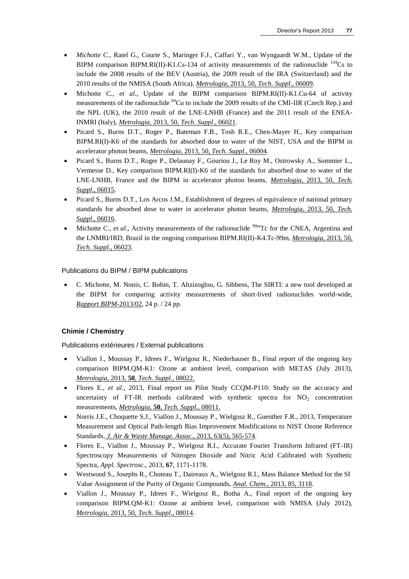- *Michotte* C., Ratel G., Courte S., Maringer F.J., Caffari Y., van Wyngaardt W.M., Update of the BIPM comparison BIPM.RI(II)-K1.Cs-134 of activity measurements of the radionuclide  $^{134}$ Cs to include the 2008 results of the BEV (Austria), the 2009 result of the IRA (Switzerland) and the 2010 results of the NMISA (South Africa), *Metrologia*, 2013, 50, *[Tech. Suppl](http://stacks.iop.org/0026-1394/50/06009)*., 06009*.*
- Michotte C., *et al*., Update of the BIPM comparison BIPM.RI(II)-K1.Cu-64 of activity measurements of the radionuclide <sup>64</sup>Cu to include the 2009 results of the CMI-IIR (Czech Rep.) and the NPL (UK), the 2010 result of the LNE-LNHB (France) and the 2011 result of the ENEA-INMRI (Italy), *Metrologia*, 2013, 50, *[Tech. Suppl](http://stacks.iop.org/0026-1394/50/06021)*., 06021.
- Picard S., Burns D.T., Roger P., Bateman F.B., Tosh R.E., Chen-Mayer H., Key comparison BIPM.RI(I)-K6 of the standards for absorbed dose to water of the NIST, USA and the BIPM in accelerator photon beams, *Metrologia*, 2013, 50, *[Tech. Suppl](http://stacks.iop.org/0026-1394/50/06004)*., 06004*.*
- Picard S., Burns D.T., Roger P., Delaunay F., Gouriou J., Le Roy M., Ostrowsky A., Sommier L., Vermesse D., Key comparison BIPM.RI(I)-K6 of the standards for absorbed dose to water of the LNE-LNHB, France and the BIPM in accelerator photon beams, *Metrologia*[, 2013, 50,](http://stacks.iop.org/0026-1394/50/06015) *Tech. Suppl*[., 06015](http://stacks.iop.org/0026-1394/50/06015)*.*
- Picard S., Burns D.T., Los Arcos J.M., Establishment of degrees of equivalence of national primary standards for absorbed dose to water in accelerator photon beams, *Metrologia*[, 2013, 50,](http://stacks.iop.org/0026-1394/50/06016) *Tech. Suppl*[., 06016](http://stacks.iop.org/0026-1394/50/06016)*.*
- Michotte C., *et al.*, Activity measurements of the radionuclide <sup>99m</sup>Tc for the CNEA, Argentina and the LNMRI/IRD, Brazil in the ongoing comparison BIPM.RI(II)-K4.Tc-99m, *[Metrologia](http://stacks.iop.org/0026-1394/50/06023)*, 2013, 50, *[Tech. Suppl](http://stacks.iop.org/0026-1394/50/06023)*., 06023*.*

 C. Michotte, M. Nonis, C. Bobin, T. Altzizoglou, G. Sibbens, The SIRTI: a new tool developed at the BIPM for comparing activity measurements of short-lived radionuclides world-wide, *[Rapport BIPM](http://www.bipm.org/utils/common/pdf/rapportBIPM/2013/02.pdf)*-2013/02, 24 p. / 24 pp.

## **Chimie / Chemistry**

- Viallon J., Moussay P., Idrees F., Wielgosz R., Niederhauser B., Final report of the ongoing key comparison BIPM.QM-K1: Ozone at ambient level, comparison with METAS (July 2013), *Metrologia,* 2013, **50***[, Tech. Suppl.,](http://iopscience.iop.org/0026-1394/50/1A/08022)* 08022.
- Flores E., *et al*., 2013, Final report on Pilot Study CCQM-P110: Study on the accuracy and uncertainty of FT-IR methods calibrated with synthetic spectra for  $NO<sub>2</sub>$  concentration measurements, *Metrologia,* **50***[, Tech. Suppl.,](http://iopscience.iop.org/0026-1394/50/1A/08011)* 08011.
- Norris J.E., Choquette S.J., Viallon J., Moussay P., Wielgosz R., Guenther F.R., 2013, Temperature Measurement and Optical Path-length Bias Improvement Modifications to NIST Ozone Reference Standards, *[J. Air & Waste Manage. Assoc.](http://dx.doi.org/10.1080/10962247.2013.773951)*, 2013, 63(5), 565-574.
- Flores E., Viallon J., Moussay P., Wielgosz R.I., Accurate Fourier Transform Infrared (FT-IR) Spectroscopy Measurements of Nitrogen Dioxide and Nitric Acid Calibrated with Synthetic Spectra, *Appl. Spectrosc.*, 2013, **67**, 1171-1178.
- Westwood S., Josephs R., Choteau T., Daireaux A., Wielgosz R.I., Mass Balance Method for the SI Value Assignment of the Purity of Organic Compounds, *Anal. Chem*[., 2013, 85, 3118.](http://dx.doi.org/10.1021/ac303329k)
- Viallon J., Moussay P., Idrees F., Wielgosz R., Botha A., Final report of the ongoing key comparison BIPM.QM-K1: Ozone at ambient level, comparison with NMISA (July 2012), *Metrologia*, 2013, 50, *[Tech. Suppl](http://stacks.iop.org/0026-1394/50/08014)*., 08014.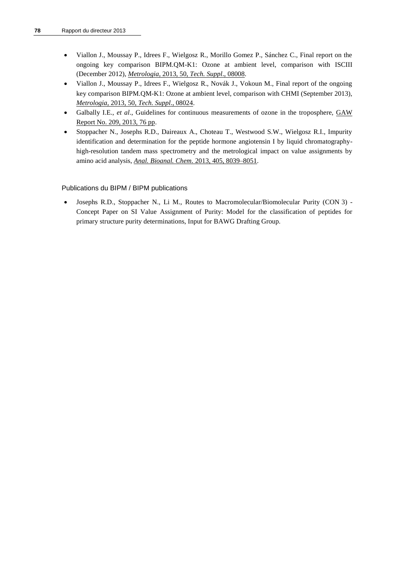- Viallon J., Moussay P., Idrees F., Wielgosz R., Morillo Gomez P., Sánchez C., Final report on the ongoing key comparison BIPM.QM-K1: Ozone at ambient level, comparison with ISCIII (December 2012), *Metrologia*, 2013, 50, *[Tech. Suppl](http://stacks.iop.org/0026-1394/50/08008)*., 08008.
- Viallon J., Moussay P., Idrees F., Wielgosz R., Novák J., Vokoun M., Final report of the ongoing key comparison BIPM.QM-K1: Ozone at ambient level, comparison with CHMI (September 2013), *Metrologia*, 2013, 50, *[Tech. Suppl](http://stacks.iop.org/0026-1394/50/08024)*., 08024.
- Galbally I.E., *et al*., Guidelines for continuous measurements of ozone in the troposphere, [GAW](http://www.wmo.int/pages/prog/arep/gaw/documents/Final_GAW_209_web.pdf)  [Report No. 209, 2013, 76 pp.](http://www.wmo.int/pages/prog/arep/gaw/documents/Final_GAW_209_web.pdf)
- Stoppacher N., Josephs R.D., Daireaux A., Choteau T., Westwood S.W., Wielgosz R.I., Impurity identification and determination for the peptide hormone angiotensin I by liquid chromatographyhigh-resolution tandem mass spectrometry and the metrological impact on value assignments by amino acid analysis, *[Anal. Bioanal. Chem.](http://dx.doi.org/10.1007/s00216-013-6953-7)* 2013, 405, 8039–8051.

 Josephs R.D., Stoppacher N., Li M., Routes to Macromolecular/Biomolecular Purity (CON 3) - Concept Paper on SI Value Assignment of Purity: Model for the classification of peptides for primary structure purity determinations, Input for BAWG Drafting Group.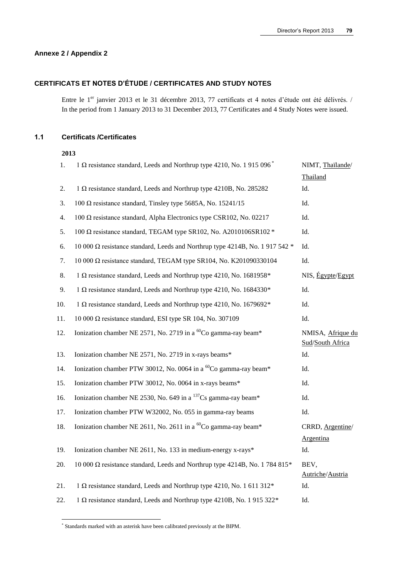## **Annexe 2 / Appendix 2**

## **CERTIFICATS ET NOTES D'ÉTUDE / CERTIFICATES AND STUDY NOTES**

Entre le 1<sup>er</sup> janvier 2013 et le 31 décembre 2013, 77 certificats et 4 notes d'étude ont été délivrés. / In the period from 1 January 2013 to 31 December 2013, 77 Certificates and 4 Study Notes were issued.

## **1.1 Certificats /Certificates**

### **2013**

| 1.  | 1 Ω resistance standard, Leeds and Northrup type 4210, No. 1 915 096 <sup>*</sup>   | NIMT, Thaïlande/                         |
|-----|-------------------------------------------------------------------------------------|------------------------------------------|
|     |                                                                                     | Thailand                                 |
| 2.  | $1 \Omega$ resistance standard, Leeds and Northrup type 4210B, No. 285282           | Id.                                      |
| 3.  | 100 $\Omega$ resistance standard, Tinsley type 5685A, No. 15241/15                  | Id.                                      |
| 4.  | 100 $\Omega$ resistance standard, Alpha Electronics type CSR102, No. 02217          | Id.                                      |
| 5.  | 100 $\Omega$ resistance standard, TEGAM type SR102, No. A2010106SR102 *             | Id.                                      |
| 6.  | 10 000 $\Omega$ resistance standard, Leeds and Northrup type 4214B, No. 1 917 542 * | Id.                                      |
| 7.  | 10 000 Ω resistance standard, TEGAM type SR104, No. K201090330104                   | Id.                                      |
| 8.  | 1 $\Omega$ resistance standard, Leeds and Northrup type 4210, No. 1681958*          | NIS, <i><u>Égypte</u></i> / <i>Egypt</i> |
| 9.  | 1 $\Omega$ resistance standard, Leeds and Northrup type 4210, No. 1684330*          | Id.                                      |
| 10. | 1 $\Omega$ resistance standard, Leeds and Northrup type 4210, No. 1679692*          | Id.                                      |
| 11. | 10 000 Ω resistance standard, ESI type SR 104, No. 307109                           | Id.                                      |
| 12. | Ionization chamber NE 2571, No. 2719 in a <sup>60</sup> Co gamma-ray beam*          | NMISA, Afrique du<br>Sud/South Africa    |
| 13. | Ionization chamber NE 2571, No. 2719 in x-rays beams*                               | Id.                                      |
| 14. | Ionization chamber PTW 30012, No. 0064 in a <sup>60</sup> Co gamma-ray beam*        | Id.                                      |
| 15. | Ionization chamber PTW 30012, No. 0064 in x-rays beams*                             | Id.                                      |
| 16. | Ionization chamber NE 2530, No. 649 in a $^{137}Cs$ gamma-ray beam*                 | Id.                                      |
| 17. | Ionization chamber PTW W32002, No. 055 in gamma-ray beams                           | Id.                                      |
| 18. | Ionization chamber NE 2611, No. 2611 in a $^{60}$ Co gamma-ray beam*                | CRRD, Argentine/                         |
|     |                                                                                     | Argentina                                |
| 19. | Ionization chamber NE 2611, No. 133 in medium-energy x-rays*                        | Id.                                      |
| 20. | 10 000 $\Omega$ resistance standard, Leeds and Northrup type 4214B, No. 1 784 815*  | BEV,<br>Autriche/Austria                 |
| 21. | 1 Ω resistance standard, Leeds and Northrup type 4210, No. 1 611 312*               | Id.                                      |
| 22. | 1 $\Omega$ resistance standard, Leeds and Northrup type 4210B, No. 1 915 322*       | Id.                                      |

 \* Standards marked with an asterisk have been calibrated previously at the BIPM.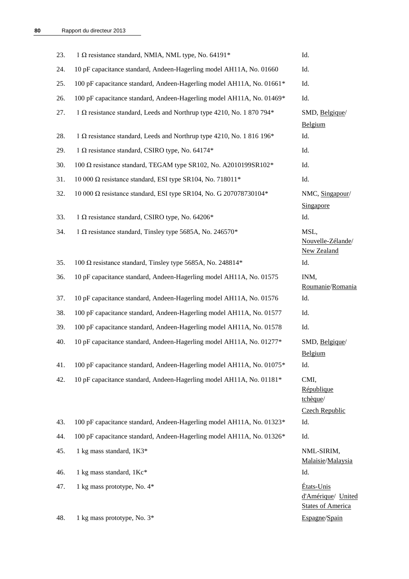| 23.        | 1 $\Omega$ resistance standard, NMIA, NML type, No. 64191*            | Id.                                                          |
|------------|-----------------------------------------------------------------------|--------------------------------------------------------------|
| 24.        | 10 pF capacitance standard, Andeen-Hagerling model AH11A, No. 01660   | Id.                                                          |
| 25.        | 100 pF capacitance standard, Andeen-Hagerling model AH11A, No. 01661* | Id.                                                          |
| 26.        | 100 pF capacitance standard, Andeen-Hagerling model AH11A, No. 01469* | Id.                                                          |
| 27.        | 1 Ω resistance standard, Leeds and Northrup type 4210, No. 1 870 794* | SMD, Belgique/<br>Belgium                                    |
| 28.        | 1 Ω resistance standard, Leeds and Northrup type 4210, No. 1 816 196* | Id.                                                          |
| 29.        | 1 $\Omega$ resistance standard, CSIRO type, No. 64174*                | Id.                                                          |
| 30.        | 100 Ω resistance standard, TEGAM type SR102, No. A2010199SR102*       | Id.                                                          |
| 31.        | 10 000 $\Omega$ resistance standard, ESI type SR104, No. 718011*      | Id.                                                          |
| 32.        | 10 000 Ω resistance standard, ESI type SR104, No. G 207078730104*     | NMC, Singapour/<br>Singapore                                 |
| 33.        | 1 Ω resistance standard, CSIRO type, No. 64206*                       | Id.                                                          |
| 34.        | 1 $\Omega$ resistance standard, Tinsley type 5685A, No. 246570*       | MSL,<br>Nouvelle-Zélande/<br>New Zealand                     |
| 35.        | 100 $\Omega$ resistance standard, Tinsley type 5685A, No. 248814*     | Id.                                                          |
| 36.        | 10 pF capacitance standard, Andeen-Hagerling model AH11A, No. 01575   | INM,<br>Roumanie/Romania                                     |
| 37.        | 10 pF capacitance standard, Andeen-Hagerling model AH11A, No. 01576   | Id.                                                          |
| 38.        | 100 pF capacitance standard, Andeen-Hagerling model AH11A, No. 01577  | Id.                                                          |
| 39.        | 100 pF capacitance standard, Andeen-Hagerling model AH11A, No. 01578  | Id.                                                          |
| 40.        | 10 pF capacitance standard, Andeen-Hagerling model AH11A, No. 01277*  | SMD, Belgique/<br><b>Belgium</b>                             |
| 41.        | 100 pF capacitance standard, Andeen-Hagerling model AH11A, No. 01075* | Id.                                                          |
| 42.        | 10 pF capacitance standard, Andeen-Hagerling model AH11A, No. 01181*  | CMI,<br>République<br>tchèque/<br><b>Czech Republic</b>      |
| 43.        | 100 pF capacitance standard, Andeen-Hagerling model AH11A, No. 01323* | Id.                                                          |
| 44.        | 100 pF capacitance standard, Andeen-Hagerling model AH11A, No. 01326* | Id.                                                          |
| 45.        | 1 kg mass standard, 1K3*                                              | NML-SIRIM,<br>Malaisie/Malaysia                              |
| 46.        | 1 kg mass standard, 1Kc*                                              | Id.                                                          |
| 47.<br>48. | 1 kg mass prototype, No. 4*                                           | États-Unis<br>d'Amérique/ United<br><b>States of America</b> |
|            | 1 kg mass prototype, No. 3*                                           | Espagne/Spain                                                |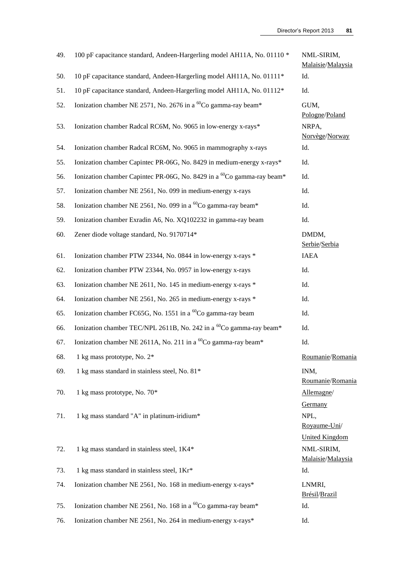| 49. | 100 pF capacitance standard, Andeen-Hargerling model AH11A, No. 01110 *            | NML-SIRIM,<br>Malaisie/Malaysia                   |
|-----|------------------------------------------------------------------------------------|---------------------------------------------------|
| 50. | 10 pF capacitance standard, Andeen-Hargerling model AH11A, No. 01111*              | Id.                                               |
| 51. | 10 pF capacitance standard, Andeen-Hargerling model AH11A, No. 01112*              | Id.                                               |
| 52. | Ionization chamber NE 2571, No. 2676 in a <sup>60</sup> Co gamma-ray beam*         | GUM,<br>Pologne/Poland                            |
| 53. | Ionization chamber Radcal RC6M, No. 9065 in low-energy x-rays*                     | NRPA,<br>Norvège/Norway                           |
| 54. | Ionization chamber Radcal RC6M, No. 9065 in mammography x-rays                     | Id.                                               |
| 55. | Ionization chamber Capintec PR-06G, No. 8429 in medium-energy x-rays*              | Id.                                               |
| 56. | Ionization chamber Capintec PR-06G, No. 8429 in a <sup>60</sup> Co gamma-ray beam* | Id.                                               |
| 57. | Ionization chamber NE 2561, No. 099 in medium-energy x-rays                        | Id.                                               |
| 58. | Ionization chamber NE 2561, No. 099 in a <sup>60</sup> Co gamma-ray beam*          | Id.                                               |
| 59. | Ionization chamber Exradin A6, No. XQ102232 in gamma-ray beam                      | Id.                                               |
| 60. | Zener diode voltage standard, No. 9170714*                                         | DMDM,<br>Serbie/Serbia                            |
| 61. | Ionization chamber PTW 23344, No. 0844 in low-energy x-rays *                      | <b>IAEA</b>                                       |
| 62. | Ionization chamber PTW 23344, No. 0957 in low-energy x-rays                        | Id.                                               |
| 63. | Ionization chamber NE 2611, No. 145 in medium-energy x-rays *                      | Id.                                               |
| 64. | Ionization chamber NE 2561, No. 265 in medium-energy x-rays *                      | Id.                                               |
| 65. | Ionization chamber FC65G, No. 1551 in a <sup>60</sup> Co gamma-ray beam            | Id.                                               |
| 66. | Ionization chamber TEC/NPL 2611B, No. 242 in a <sup>60</sup> Co gamma-ray beam*    | Id.                                               |
| 67. | Ionization chamber NE 2611A, No. 211 in a <sup>60</sup> Co gamma-ray beam*         | Id.                                               |
| 68. | 1 kg mass prototype, No. 2*                                                        | Roumanie/Romania                                  |
| 69. | 1 kg mass standard in stainless steel, No. 81*                                     | INM,<br>Roumanie/Romania                          |
| 70. | 1 kg mass prototype, No. 70*                                                       | Allemagne/                                        |
| 71. | 1 kg mass standard "A" in platinum-iridium*                                        | Germany<br>NPL,<br>Royaume-Uni/                   |
| 72. | 1 kg mass standard in stainless steel, 1K4*                                        | United Kingdom<br>NML-SIRIM,<br>Malaisie/Malaysia |
| 73. | 1 kg mass standard in stainless steel, 1Kr*                                        | Id.                                               |
| 74. | Ionization chamber NE 2561, No. 168 in medium-energy x-rays*                       | LNMRI,<br>Brésil/Brazil                           |
| 75. | Ionization chamber NE 2561, No. 168 in a $^{60}$ Co gamma-ray beam*                | Id.                                               |
| 76. | Ionization chamber NE 2561, No. 264 in medium-energy x-rays*                       | Id.                                               |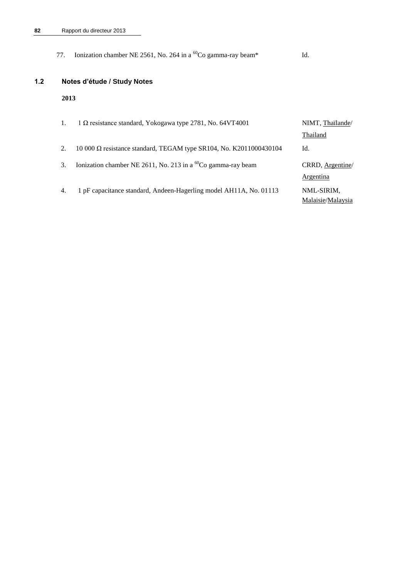|     | 77.  | Ionization chamber NE 2561, No. 264 in a ${}^{60}Co$ gamma-ray beam*      | Id.                          |
|-----|------|---------------------------------------------------------------------------|------------------------------|
| 1.2 |      | Notes d'étude / Study Notes                                               |                              |
|     | 2013 |                                                                           |                              |
|     | 1.   | $1 \Omega$ resistance standard, Yokogawa type 2781, No. 64VT4001          | NIMT, Thaïlande/<br>Thailand |
|     | 2.   | 10 000 $\Omega$ resistance standard, TEGAM type SR104, No. K2011000430104 | Id.                          |
|     | 3.   | Ionization chamber NE 2611, No. 213 in a ${}^{60}Co$ gamma-ray beam       | CRRD, Argentine<br>Argentina |

4. 1 pF capacitance standard, Andeen-Hagerling model AH11A, No. 01113 NML-SIRIM,

**[Argentina](http://www.bipm.org/en/convention/member_states/ar/)** [Malaisie](http://www.bipm.org/fr/convention/member_states/my/)[/Malaysia](http://www.bipm.org/en/convention/member_states/my/)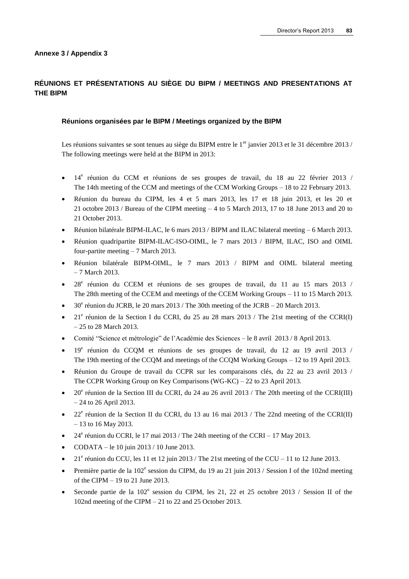## **RÉUNIONS ET PRÉSENTATIONS AU SIÈGE DU BIPM / MEETINGS AND PRESENTATIONS AT THE BIPM**

#### **Réunions organisées par le BIPM / Meetings organized by the BIPM**

Les réunions suivantes se sont tenues au siège du BIPM entre le 1<sup>er</sup> janvier 2013 et le 31 décembre 2013 / The following meetings were held at the BIPM in 2013:

- · 14<sup>e</sup> réunion du CCM et réunions de ses groupes de travail, du 18 au 22 février 2013 / The 14th meeting of the CCM and meetings of the CCM Working Groups – 18 to 22 February 2013.
- Réunion du bureau du CIPM, les 4 et 5 mars 2013, les 17 et 18 juin 2013, et les 20 et 21 octobre 2013 / Bureau of the CIPM meeting – 4 to 5 March 2013, 17 to 18 June 2013 and 20 to 21 October 2013.
- Réunion bilatérale BIPM-ILAC, le 6 mars 2013 / BIPM and ILAC bilateral meeting 6 March 2013.
- Réunion quadripartite BIPM-ILAC-ISO-OIML, le 7 mars 2013 / BIPM, ILAC, ISO and OIML four-partite meeting – 7 March 2013.
- Réunion bilatérale BIPM-OIML, le 7 mars 2013 / BIPM and OIML bilateral meeting – 7 March 2013.
- · 28<sup>e</sup> réunion du CCEM et réunions de ses groupes de travail, du 11 au 15 mars 2013 / The 28th meeting of the CCEM and meetings of the CCEM Working Groups – 11 to 15 March 2013.
- $\bullet$  30<sup>e</sup> réunion du JCRB, le 20 mars 2013 / The 30th meeting of the JCRB 20 March 2013.
- $\bullet$  21<sup>e</sup> réunion de la Section I du CCRI, du 25 au 28 mars 2013 / The 21st meeting of the CCRI(I) – 25 to 28 March 2013.
- Comité "Science et métrologie" de l'Académie des Sciences le 8 avril 2013 / 8 April 2013.
- · 19<sup>e</sup> réunion du CCQM et réunions de ses groupes de travail, du 12 au 19 avril 2013 / The 19th meeting of the CCQM and meetings of the CCQM Working Groups – 12 to 19 April 2013.
- Réunion du Groupe de travail du CCPR sur les comparaisons clés, du 22 au 23 avril 2013 / The CCPR Working Group on Key Comparisons (WG-KC) – 22 to 23 April 2013.
- $\bullet$  20<sup>e</sup> réunion de la Section III du CCRI, du 24 au 26 avril 2013 / The 20th meeting of the CCRI(III) – 24 to 26 April 2013.
- $\bullet$  22<sup>e</sup> réunion de la Section II du CCRI, du 13 au 16 mai 2013 / The 22nd meeting of the CCRI(II) – 13 to 16 May 2013.
- $\bullet$  24<sup>e</sup> réunion du CCRI, le 17 mai 2013 / The 24th meeting of the CCRI 17 May 2013.
- CODATA le 10 juin 2013 / 10 June 2013.
- $\bullet$  21<sup>e</sup> réunion du CCU, les 11 et 12 juin 2013 / The 21st meeting of the CCU 11 to 12 June 2013.
- Première partie de la  $102^e$  session du CIPM, du 19 au 21 juin 2013 / Session I of the 102nd meeting of the CIPM – 19 to 21 June 2013.
- Seconde partie de la  $102^e$  session du CIPM, les 21, 22 et 25 octobre 2013 / Session II of the 102nd meeting of the CIPM – 21 to 22 and 25 October 2013.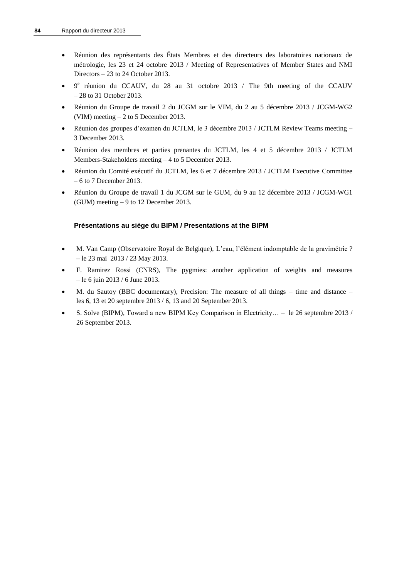- Réunion des représentants des États Membres et des directeurs des laboratoires nationaux de métrologie, les 23 et 24 octobre 2013 / Meeting of Representatives of Member States and NMI Directors – 23 to 24 October 2013.
- 9 e réunion du CCAUV, du 28 au 31 octobre 2013 / The 9th meeting of the CCAUV – 28 to 31 October 2013.
- Réunion du Groupe de travail 2 du JCGM sur le VIM, du 2 au 5 décembre 2013 / JCGM-WG2 (VIM) meeting – 2 to 5 December 2013.
- Réunion des groupes d'examen du JCTLM, le 3 décembre 2013 / JCTLM Review Teams meeting 3 December 2013.
- Réunion des membres et parties prenantes du JCTLM, les 4 et 5 décembre 2013 / JCTLM Members-Stakeholders meeting – 4 to 5 December 2013.
- Réunion du Comité exécutif du JCTLM, les 6 et 7 décembre 2013 / JCTLM Executive Committee – 6 to 7 December 2013.
- Réunion du Groupe de travail 1 du JCGM sur le GUM, du 9 au 12 décembre 2013 / JCGM-WG1 (GUM) meeting – 9 to 12 December 2013.

## **Présentations au siège du BIPM / Presentations at the BIPM**

- M. Van Camp (Observatoire Royal de Belgique), L'eau, l'élément indomptable de la gravimétrie ? – le 23 mai 2013 / 23 May 2013.
- F. Ramirez Rossi (CNRS), The pygmies: another application of weights and measures – le 6 juin 2013 / 6 June 2013.
- M. du Sautoy (BBC documentary), Precision: The measure of all things time and distance les 6, 13 et 20 septembre 2013 / 6, 13 and 20 September 2013.
- S. Solve (BIPM), Toward a new BIPM Key Comparison in Electricity… le 26 septembre 2013 / 26 September 2013.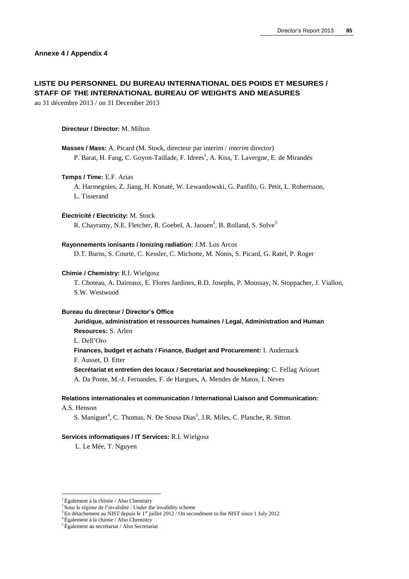# **LISTE DU PERSONNEL DU BUREAU INTERNATIONAL DES POIDS ET MESURES / STAFF OF THE INTERNATIONAL BUREAU OF WEIGHTS AND MEASURES**

au 31 décembre 2013 / on 31 December 2013

#### **Directeur / Director:** M. Milton

**Masses / Mass:** A. Picard (M. Stock, directeur par interim / *interim* director) P. Barat, H. Fang, C. Goyon-Taillade, F. Idrees<sup>1</sup>, A. Kiss, T. Lavergne, E. de Mirandés

#### **Temps / Time:** E.F. Arias

A. Harmegnies, Z. Jiang, H. Konaté, W. Lewandowski, G. Panfilo, G. Petit, L. Robertsson, L. Tisserand

#### **Électricité / Electricity:** M. Stock

R. Chayramy, N.E. Fletcher, R. Goebel, A. Jaouen<sup>2</sup>, B. Rolland, S. Solve<sup>3</sup>

#### **Rayonnements ionisants / Ionizing radiation:** J.M. Los Arcos

D.T. Burns, S. Courte, C. Kessler, C. Michotte, M. Nonis, S. Picard, G. Ratel, P. Roger

#### **Chimie / Chemistry:** R.I. Wielgosz

T. Choteau, A. Daireaux, E. Flores Jardines, R.D. Josephs, P. Moussay, N. Stoppacher, J. Viallon, S.W. Westwood

#### **Bureau du directeur / Director's Office**

## **Juridique, administration et ressources humaines / Legal, Administration and Human Resources:** S. Arlen

L. Dell'Oro

#### **Finances, budget et achats / Finance, Budget and Procurement:** I. Andernack F. Ausset, D. Etter

**Secrétariat et entretien des locaux / Secretariat and housekeeping:** C. Fellag Ariouet A. Da Ponte, M.-J. Fernandes, F. de Hargues, A. Mendes de Matos, I. Neves

#### **Relations internationales et communication / International Liaison and Communication:**

A.S. Henson

 $\overline{a}$ 

S. Maniguet<sup>4</sup>, C. Thomas, N. De Sousa Dias<sup>5</sup>, J.R. Miles, C. Planche, R. Sitton

#### **Services informatiques / IT Services:** R.I. Wielgosz

L. Le Mée, T. Nguyen

<sup>1</sup> Également à la chimie / Also Chemistry

<sup>&</sup>lt;sup>2</sup> Sous le régime de l'invalidité / Under the invalidity scheme

 $3$  En détachement au NIST depuis le 1<sup>er</sup> juillet 2012 / On secondment to the NIST since 1 July 2012

 ${}^4\acute{E}$ galement à la chimie / Also Chemistry

<sup>5</sup> Également au secrétariat / Also Secretariat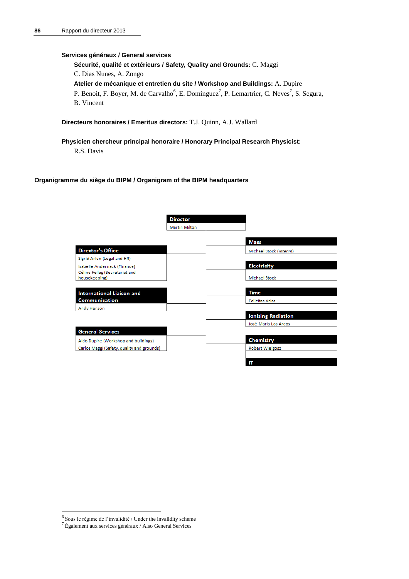#### **Services généraux / General services**

**Sécurité, qualité et extérieurs / Safety, Quality and Grounds:** C. Maggi

C. Dias Nunes, A. Zongo

**Atelier de mécanique et entretien du site / Workshop and Buildings:** A. Dupire

P. Benoit, F. Boyer, M. de Carvalho<sup>6</sup>, E. Dominguez<sup>7</sup>, P. Lemartrier, C. Neves<sup>7</sup>, S. Segura, B. Vincent

**Directeurs honoraires / Emeritus directors:** T.J. Quinn, A.J. Wallard

# **Physicien chercheur principal honoraire / Honorary Principal Research Physicist:**

R.S. Davis

#### **Organigramme du siège du BIPM / Organigram of the BIPM headquarters**

|                                                 | <b>Director</b>      |                           |
|-------------------------------------------------|----------------------|---------------------------|
|                                                 | <b>Martin Milton</b> |                           |
|                                                 |                      | <b>Mass</b>               |
| <b>Director's Office</b>                        |                      | Michael Stock (interim)   |
| Sigrid Arlen (Legal and HR)                     |                      |                           |
| Isabelle Andernack (Finance)                    |                      | <b>Electricity</b>        |
| Céline Fellag (Secretariat and<br>housekeeping) |                      | Michael Stock             |
|                                                 |                      |                           |
| <b>International Liaison and</b>                |                      | <b>Time</b>               |
| Communication                                   |                      | <b>Felicitas Arias</b>    |
| Andy Henson                                     |                      |                           |
|                                                 |                      | <b>Ionizing Radiation</b> |
|                                                 |                      | José-Maria Los Arcos      |
| <b>General Services</b>                         |                      |                           |
| Aldo Dupire (Workshop and buildings)            |                      | <b>Chemistry</b>          |
| Carlos Maggi (Safety, quality and grounds)      |                      | Robert Wielgosz           |
|                                                 |                      |                           |
|                                                 |                      | IΤ                        |

 6 Sous le régime de l'invalidité / Under the invalidity scheme

<sup>7</sup> Également aux services généraux / Also General Services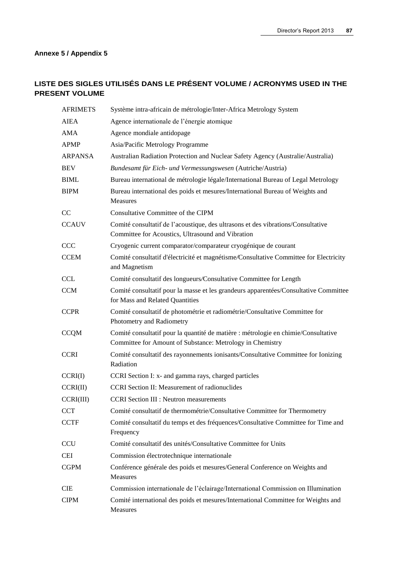## **Annexe 5 / Appendix 5**

# **LISTE DES SIGLES UTILISÉS DANS LE PRÉSENT VOLUME / ACRONYMS USED IN THE PRESENT VOLUME**

| <b>AFRIMETS</b> | Système intra-africain de métrologie/Inter-Africa Metrology System                                                                              |
|-----------------|-------------------------------------------------------------------------------------------------------------------------------------------------|
| AIEA            | Agence internationale de l'énergie atomique                                                                                                     |
| AMA             | Agence mondiale antidopage                                                                                                                      |
| <b>APMP</b>     | Asia/Pacific Metrology Programme                                                                                                                |
| <b>ARPANSA</b>  | Australian Radiation Protection and Nuclear Safety Agency (Australie/Australia)                                                                 |
| <b>BEV</b>      | Bundesamt für Eich- und Vermessungswesen (Autriche/Austria)                                                                                     |
| <b>BIML</b>     | Bureau international de métrologie légale/International Bureau of Legal Metrology                                                               |
| <b>BIPM</b>     | Bureau international des poids et mesures/International Bureau of Weights and<br><b>Measures</b>                                                |
| <sub>CC</sub>   | Consultative Committee of the CIPM                                                                                                              |
| <b>CCAUV</b>    | Comité consultatif de l'acoustique, des ultrasons et des vibrations/Consultative<br>Committee for Acoustics, Ultrasound and Vibration           |
| <b>CCC</b>      | Cryogenic current comparator/comparateur cryogénique de courant                                                                                 |
| <b>CCEM</b>     | Comité consultatif d'électricité et magnétisme/Consultative Committee for Electricity<br>and Magnetism                                          |
| CCL             | Comité consultatif des longueurs/Consultative Committee for Length                                                                              |
| <b>CCM</b>      | Comité consultatif pour la masse et les grandeurs apparentées/Consultative Committee<br>for Mass and Related Quantities                         |
| <b>CCPR</b>     | Comité consultatif de photométrie et radiométrie/Consultative Committee for<br>Photometry and Radiometry                                        |
| <b>CCQM</b>     | Comité consultatif pour la quantité de matière : métrologie en chimie/Consultative<br>Committee for Amount of Substance: Metrology in Chemistry |
| <b>CCRI</b>     | Comité consultatif des rayonnements ionisants/Consultative Committee for Ionizing<br>Radiation                                                  |
| CCRI(I)         | CCRI Section I: x- and gamma rays, charged particles                                                                                            |
| CCRI(II)        | CCRI Section II: Measurement of radionuclides                                                                                                   |
| CCRI(III)       | <b>CCRI</b> Section III : Neutron measurements                                                                                                  |
| <b>CCT</b>      | Comité consultatif de thermométrie/Consultative Committee for Thermometry                                                                       |
| <b>CCTF</b>     | Comité consultatif du temps et des fréquences/Consultative Committee for Time and<br>Frequency                                                  |
| <b>CCU</b>      | Comité consultatif des unités/Consultative Committee for Units                                                                                  |
| <b>CEI</b>      | Commission électrotechnique internationale                                                                                                      |
| <b>CGPM</b>     | Conférence générale des poids et mesures/General Conference on Weights and<br>Measures                                                          |
| <b>CIE</b>      | Commission internationale de l'éclairage/International Commission on Illumination                                                               |
| <b>CIPM</b>     | Comité international des poids et mesures/International Committee for Weights and<br>Measures                                                   |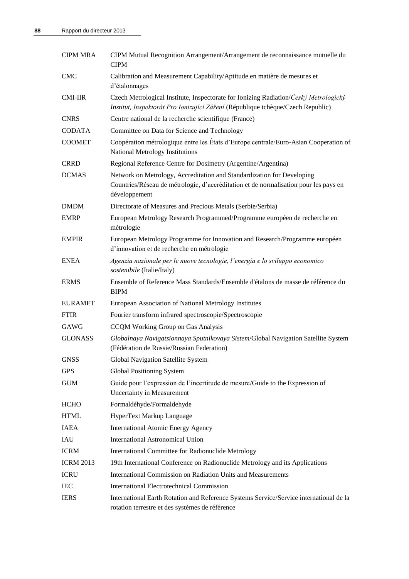| <b>CIPM MRA</b>  | CIPM Mutual Recognition Arrangement/Arrangement de reconnaissance mutuelle du<br><b>CIPM</b>                                                                                    |
|------------------|---------------------------------------------------------------------------------------------------------------------------------------------------------------------------------|
| <b>CMC</b>       | Calibration and Measurement Capability/Aptitude en matière de mesures et<br>d'étalonnages                                                                                       |
| <b>CMI-IIR</b>   | Czech Metrological Institute, Inspectorate for Ionizing Radiation/Český Metrologický<br>Institut, Inspektorát Pro Ionizující Záření (République tchèque/Czech Republic)         |
| <b>CNRS</b>      | Centre national de la recherche scientifique (France)                                                                                                                           |
| <b>CODATA</b>    | Committee on Data for Science and Technology                                                                                                                                    |
| <b>COOMET</b>    | Coopération métrologique entre les États d'Europe centrale/Euro-Asian Cooperation of<br>National Metrology Institutions                                                         |
| <b>CRRD</b>      | Regional Reference Centre for Dosimetry (Argentine/Argentina)                                                                                                                   |
| <b>DCMAS</b>     | Network on Metrology, Accreditation and Standardization for Developing<br>Countries/Réseau de métrologie, d'accréditation et de normalisation pour les pays en<br>développement |
| <b>DMDM</b>      | Directorate of Measures and Precious Metals (Serbie/Serbia)                                                                                                                     |
| <b>EMRP</b>      | European Metrology Research Programmed/Programme européen de recherche en<br>métrologie                                                                                         |
| <b>EMPIR</b>     | European Metrology Programme for Innovation and Research/Programme européen<br>d'innovation et de recherche en métrologie                                                       |
| <b>ENEA</b>      | Agenzia nazionale per le nuove tecnologie, l'energia e lo sviluppo economico<br>sostenibile (Italie/Italy)                                                                      |
| <b>ERMS</b>      | Ensemble of Reference Mass Standards/Ensemble d'étalons de masse de référence du<br><b>BIPM</b>                                                                                 |
| <b>EURAMET</b>   | European Association of National Metrology Institutes                                                                                                                           |
| <b>FTIR</b>      | Fourier transform infrared spectroscopie/Spectroscopie                                                                                                                          |
| GAWG             | CCQM Working Group on Gas Analysis                                                                                                                                              |
| <b>GLONASS</b>   | Globalnaya Navigatsionnaya Sputnikovaya Sistem/Global Navigation Satellite System<br>(Fédération de Russie/Russian Federation)                                                  |
| <b>GNSS</b>      | Global Navigation Satellite System                                                                                                                                              |
| <b>GPS</b>       | <b>Global Positioning System</b>                                                                                                                                                |
| <b>GUM</b>       | Guide pour l'expression de l'incertitude de mesure/Guide to the Expression of<br><b>Uncertainty in Measurement</b>                                                              |
| <b>HCHO</b>      | Formaldéhyde/Formaldehyde                                                                                                                                                       |
| <b>HTML</b>      | HyperText Markup Language                                                                                                                                                       |
| <b>IAEA</b>      | <b>International Atomic Energy Agency</b>                                                                                                                                       |
| IAU              | <b>International Astronomical Union</b>                                                                                                                                         |
| <b>ICRM</b>      | International Committee for Radionuclide Metrology                                                                                                                              |
| <b>ICRM 2013</b> | 19th International Conference on Radionuclide Metrology and its Applications                                                                                                    |
| <b>ICRU</b>      | International Commission on Radiation Units and Measurements                                                                                                                    |
| <b>IEC</b>       | <b>International Electrotechnical Commission</b>                                                                                                                                |
| <b>IERS</b>      | International Earth Rotation and Reference Systems Service/Service international de la<br>rotation terrestre et des systèmes de référence                                       |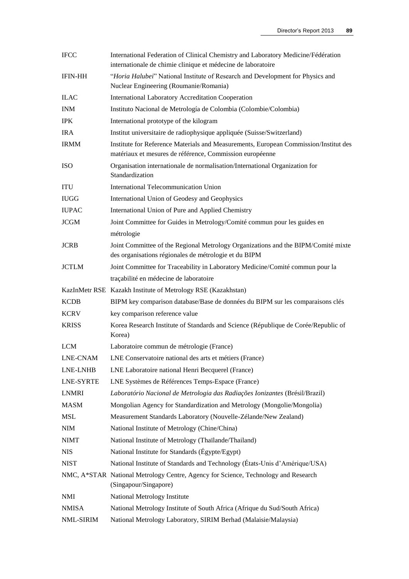| <b>IFCC</b>    | International Federation of Clinical Chemistry and Laboratory Medicine/Fédération<br>internationale de chimie clinique et médecine de laboratoire |
|----------------|---------------------------------------------------------------------------------------------------------------------------------------------------|
| <b>IFIN-HH</b> | "Horia Halubei" National Institute of Research and Development for Physics and<br>Nuclear Engineering (Roumanie/Romania)                          |
| <b>ILAC</b>    | <b>International Laboratory Accreditation Cooperation</b>                                                                                         |
| <b>INM</b>     | Instituto Nacional de Metrología de Colombia (Colombie/Colombia)                                                                                  |
| <b>IPK</b>     | International prototype of the kilogram                                                                                                           |
| <b>IRA</b>     | Institut universitaire de radiophysique appliquée (Suisse/Switzerland)                                                                            |
| <b>IRMM</b>    | Institute for Reference Materials and Measurements, European Commission/Institut des<br>matériaux et mesures de référence, Commission européenne  |
| <b>ISO</b>     | Organisation internationale de normalisation/International Organization for<br>Standardization                                                    |
| <b>ITU</b>     | International Telecommunication Union                                                                                                             |
| <b>IUGG</b>    | International Union of Geodesy and Geophysics                                                                                                     |
| <b>IUPAC</b>   | International Union of Pure and Applied Chemistry                                                                                                 |
| <b>JCGM</b>    | Joint Committee for Guides in Metrology/Comité commun pour les guides en                                                                          |
|                | métrologie                                                                                                                                        |
| <b>JCRB</b>    | Joint Committee of the Regional Metrology Organizations and the BIPM/Comité mixte<br>des organisations régionales de métrologie et du BIPM        |
| <b>JCTLM</b>   | Joint Committee for Traceability in Laboratory Medicine/Comité commun pour la                                                                     |
|                | traçabilité en médecine de laboratoire                                                                                                            |
|                | KazInMetr RSE Kazakh Institute of Metrology RSE (Kazakhstan)                                                                                      |
| <b>KCDB</b>    | BIPM key comparison database/Base de données du BIPM sur les comparaisons clés                                                                    |
| <b>KCRV</b>    | key comparison reference value                                                                                                                    |
| <b>KRISS</b>   | Korea Research Institute of Standards and Science (République de Corée/Republic of<br>Korea)                                                      |
| <b>LCM</b>     | Laboratoire commun de métrologie (France)                                                                                                         |
| LNE-CNAM       | LNE Conservatoire national des arts et métiers (France)                                                                                           |
| LNE-LNHB       | LNE Laboratoire national Henri Becquerel (France)                                                                                                 |
| LNE-SYRTE      | LNE Systèmes de Références Temps-Espace (France)                                                                                                  |
| <b>LNMRI</b>   | Laboratório Nacional de Metrologia das Radiações Ionizantes (Brésil/Brazil)                                                                       |
| <b>MASM</b>    | Mongolian Agency for Standardization and Metrology (Mongolie/Mongolia)                                                                            |
| MSL            | Measurement Standards Laboratory (Nouvelle-Zélande/New Zealand)                                                                                   |
| <b>NIM</b>     | National Institute of Metrology (Chine/China)                                                                                                     |
| <b>NIMT</b>    | National Institute of Metrology (Thaïlande/Thailand)                                                                                              |
| <b>NIS</b>     | National Institute for Standards (Égypte/Egypt)                                                                                                   |
| <b>NIST</b>    | National Institute of Standards and Technology (États-Unis d'Amérique/USA)                                                                        |
|                | NMC, A*STAR National Metrology Centre, Agency for Science, Technology and Research<br>(Singapour/Singapore)                                       |
| NMI            | National Metrology Institute                                                                                                                      |
| <b>NMISA</b>   | National Metrology Institute of South Africa (Afrique du Sud/South Africa)                                                                        |
| NML-SIRIM      | National Metrology Laboratory, SIRIM Berhad (Malaisie/Malaysia)                                                                                   |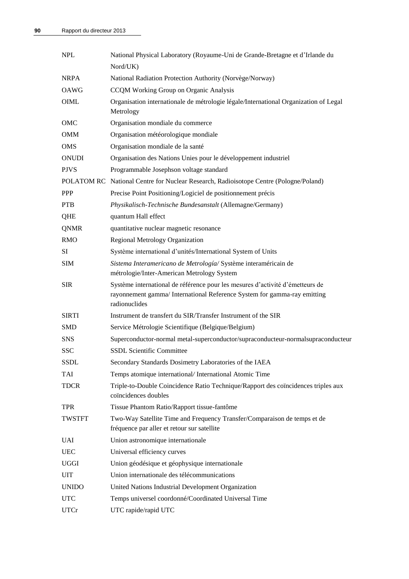| <b>NPL</b>    | National Physical Laboratory (Royaume-Uni de Grande-Bretagne et d'Irlande du                                                                                               |
|---------------|----------------------------------------------------------------------------------------------------------------------------------------------------------------------------|
|               | Nord/UK)                                                                                                                                                                   |
| <b>NRPA</b>   | National Radiation Protection Authority (Norvège/Norway)                                                                                                                   |
| <b>OAWG</b>   | CCQM Working Group on Organic Analysis                                                                                                                                     |
| <b>OIML</b>   | Organisation internationale de métrologie légale/International Organization of Legal<br>Metrology                                                                          |
| OMC           | Organisation mondiale du commerce                                                                                                                                          |
| <b>OMM</b>    | Organisation météorologique mondiale                                                                                                                                       |
| <b>OMS</b>    | Organisation mondiale de la santé                                                                                                                                          |
| <b>ONUDI</b>  | Organisation des Nations Unies pour le développement industriel                                                                                                            |
| <b>PJVS</b>   | Programmable Josephson voltage standard                                                                                                                                    |
|               | POLATOM RC National Centre for Nuclear Research, Radioisotope Centre (Pologne/Poland)                                                                                      |
| <b>PPP</b>    | Precise Point Positioning/Logiciel de positionnement précis                                                                                                                |
| <b>PTB</b>    | Physikalisch-Technische Bundesanstalt (Allemagne/Germany)                                                                                                                  |
| QHE           | quantum Hall effect                                                                                                                                                        |
| <b>QNMR</b>   | quantitative nuclear magnetic resonance                                                                                                                                    |
| <b>RMO</b>    | <b>Regional Metrology Organization</b>                                                                                                                                     |
| <b>SI</b>     | Système international d'unités/International System of Units                                                                                                               |
| <b>SIM</b>    | Sistema Interamericano de Metrología/Système interaméricain de                                                                                                             |
|               | métrologie/Inter-American Metrology System                                                                                                                                 |
| <b>SIR</b>    | Système international de référence pour les mesures d'activité d'émetteurs de<br>rayonnement gamma/ International Reference System for gamma-ray emitting<br>radionuclides |
| <b>SIRTI</b>  | Instrument de transfert du SIR/Transfer Instrument of the SIR                                                                                                              |
| <b>SMD</b>    | Service Métrologie Scientifique (Belgique/Belgium)                                                                                                                         |
| <b>SNS</b>    | Superconductor-normal metal-superconductor/supraconducteur-normalsupraconducteur                                                                                           |
| <b>SSC</b>    | <b>SSDL Scientific Committee</b>                                                                                                                                           |
| SSDL          | Secondary Standards Dosimetry Laboratories of the IAEA                                                                                                                     |
| <b>TAI</b>    | Temps atomique international/International Atomic Time                                                                                                                     |
| <b>TDCR</b>   | Triple-to-Double Coincidence Ratio Technique/Rapport des coïncidences triples aux<br>coïncidences doubles                                                                  |
| <b>TPR</b>    | Tissue Phantom Ratio/Rapport tissue-fantôme                                                                                                                                |
| <b>TWSTFT</b> | Two-Way Satellite Time and Frequency Transfer/Comparaison de temps et de<br>fréquence par aller et retour sur satellite                                                    |
| <b>UAI</b>    | Union astronomique internationale                                                                                                                                          |
| <b>UEC</b>    | Universal efficiency curves                                                                                                                                                |
| <b>UGGI</b>   | Union géodésique et géophysique internationale                                                                                                                             |
| <b>UIT</b>    | Union internationale des télécommunications                                                                                                                                |
| <b>UNIDO</b>  | United Nations Industrial Development Organization                                                                                                                         |
| <b>UTC</b>    | Temps universel coordonné/Coordinated Universal Time                                                                                                                       |
| <b>UTCr</b>   | UTC rapide/rapid UTC                                                                                                                                                       |